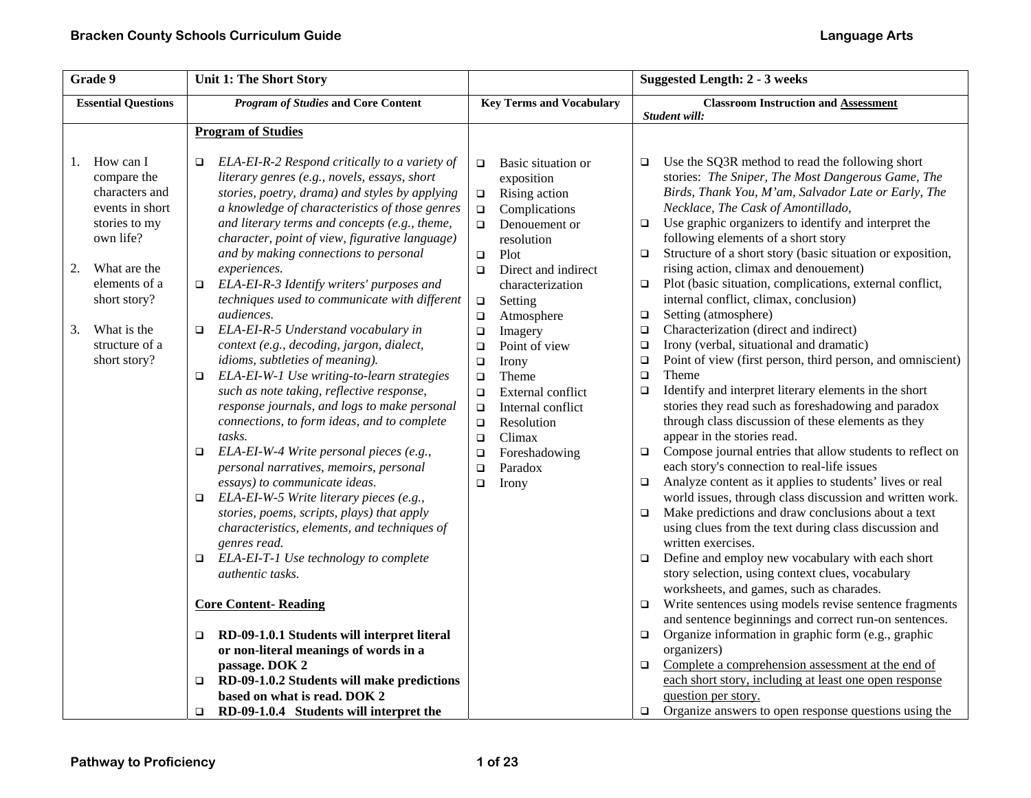| Grade 9                                                                                                                                                                                                         | <b>Unit 1: The Short Story</b>                                                                                                                                                                                                                                                                                                                                                                                                                                                                                                                                                                                                                                                                                                                                                                                                                                                                                                                                                                                                                                                                                                                                                                                                                                                                                                                            |                                                                                                                                                                                                                                                                                                                                                                                                                                                                                                                                  | <b>Suggested Length: 2 - 3 weeks</b>                                                                                                                                                                                                                                                                                                                                                                                                                                                                                                                                                                                                                                                                                                                                                                                                                                                                                                                                                                                                                                                                                                                                                                                                                                                                                                                                                                                                                                                                                                                                                                                                                                                                                                                                                          |
|-----------------------------------------------------------------------------------------------------------------------------------------------------------------------------------------------------------------|-----------------------------------------------------------------------------------------------------------------------------------------------------------------------------------------------------------------------------------------------------------------------------------------------------------------------------------------------------------------------------------------------------------------------------------------------------------------------------------------------------------------------------------------------------------------------------------------------------------------------------------------------------------------------------------------------------------------------------------------------------------------------------------------------------------------------------------------------------------------------------------------------------------------------------------------------------------------------------------------------------------------------------------------------------------------------------------------------------------------------------------------------------------------------------------------------------------------------------------------------------------------------------------------------------------------------------------------------------------|----------------------------------------------------------------------------------------------------------------------------------------------------------------------------------------------------------------------------------------------------------------------------------------------------------------------------------------------------------------------------------------------------------------------------------------------------------------------------------------------------------------------------------|-----------------------------------------------------------------------------------------------------------------------------------------------------------------------------------------------------------------------------------------------------------------------------------------------------------------------------------------------------------------------------------------------------------------------------------------------------------------------------------------------------------------------------------------------------------------------------------------------------------------------------------------------------------------------------------------------------------------------------------------------------------------------------------------------------------------------------------------------------------------------------------------------------------------------------------------------------------------------------------------------------------------------------------------------------------------------------------------------------------------------------------------------------------------------------------------------------------------------------------------------------------------------------------------------------------------------------------------------------------------------------------------------------------------------------------------------------------------------------------------------------------------------------------------------------------------------------------------------------------------------------------------------------------------------------------------------------------------------------------------------------------------------------------------------|
| <b>Essential Questions</b>                                                                                                                                                                                      | <b>Program of Studies and Core Content</b>                                                                                                                                                                                                                                                                                                                                                                                                                                                                                                                                                                                                                                                                                                                                                                                                                                                                                                                                                                                                                                                                                                                                                                                                                                                                                                                | <b>Key Terms and Vocabulary</b>                                                                                                                                                                                                                                                                                                                                                                                                                                                                                                  | <b>Classroom Instruction and Assessment</b><br>Student will:                                                                                                                                                                                                                                                                                                                                                                                                                                                                                                                                                                                                                                                                                                                                                                                                                                                                                                                                                                                                                                                                                                                                                                                                                                                                                                                                                                                                                                                                                                                                                                                                                                                                                                                                  |
|                                                                                                                                                                                                                 | <b>Program of Studies</b>                                                                                                                                                                                                                                                                                                                                                                                                                                                                                                                                                                                                                                                                                                                                                                                                                                                                                                                                                                                                                                                                                                                                                                                                                                                                                                                                 |                                                                                                                                                                                                                                                                                                                                                                                                                                                                                                                                  |                                                                                                                                                                                                                                                                                                                                                                                                                                                                                                                                                                                                                                                                                                                                                                                                                                                                                                                                                                                                                                                                                                                                                                                                                                                                                                                                                                                                                                                                                                                                                                                                                                                                                                                                                                                               |
| How can I<br>1.<br>compare the<br>characters and<br>events in short<br>stories to my<br>own life?<br>2.<br>What are the<br>elements of a<br>short story?<br>What is the<br>3.<br>structure of a<br>short story? | ELA-EI-R-2 Respond critically to a variety of<br>□<br>literary genres (e.g., novels, essays, short<br>stories, poetry, drama) and styles by applying<br>a knowledge of characteristics of those genres<br>and literary terms and concepts (e.g., theme,<br>character, point of view, figurative language)<br>and by making connections to personal<br>experiences.<br>ELA-EI-R-3 Identify writers' purposes and<br>$\Box$<br>techniques used to communicate with different<br>audiences.<br>ELA-EI-R-5 Understand vocabulary in<br>$\Box$<br>context (e.g., decoding, jargon, dialect,<br>idioms, subtleties of meaning).<br>ELA-EI-W-1 Use writing-to-learn strategies<br>$\Box$<br>such as note taking, reflective response,<br>response journals, and logs to make personal<br>connections, to form ideas, and to complete<br>tasks.<br>ELA-EI-W-4 Write personal pieces (e.g.,<br>$\Box$<br>personal narratives, memoirs, personal<br>essays) to communicate ideas.<br>ELA-EI-W-5 Write literary pieces (e.g.,<br>$\Box$<br>stories, poems, scripts, plays) that apply<br>characteristics, elements, and techniques of<br>genres read.<br>ELA-EI-T-1 Use technology to complete<br>$\Box$<br><i>authentic tasks.</i><br><b>Core Content-Reading</b><br>RD-09-1.0.1 Students will interpret literal<br>$\Box$<br>or non-literal meanings of words in a | Basic situation or<br>$\Box$<br>exposition<br>Rising action<br>$\Box$<br>Complications<br>$\Box$<br>Denouement or<br>$\Box$<br>resolution<br>Plot<br>$\Box$<br>Direct and indirect<br>$\Box$<br>characterization<br>$\Box$<br>Setting<br>Atmosphere<br>$\Box$<br>$\Box$<br>Imagery<br>Point of view<br>$\Box$<br>Irony<br>$\Box$<br>Theme<br>$\Box$<br>External conflict<br>$\Box$<br>Internal conflict<br>$\Box$<br>Resolution<br>$\Box$<br>Climax<br>$\Box$<br>Foreshadowing<br>$\Box$<br>Paradox<br>$\Box$<br>$\Box$<br>Irony | Use the SQ3R method to read the following short<br>$\Box$<br>stories: The Sniper, The Most Dangerous Game, The<br>Birds, Thank You, M'am, Salvador Late or Early, The<br>Necklace, The Cask of Amontillado,<br>Use graphic organizers to identify and interpret the<br>$\Box$<br>following elements of a short story<br>Structure of a short story (basic situation or exposition,<br>$\Box$<br>rising action, climax and denouement)<br>Plot (basic situation, complications, external conflict,<br>$\Box$<br>internal conflict, climax, conclusion)<br>Setting (atmosphere)<br>$\Box$<br>Characterization (direct and indirect)<br>$\Box$<br>Irony (verbal, situational and dramatic)<br>$\Box$<br>Point of view (first person, third person, and omniscient)<br>$\Box$<br>$\Box$<br>Theme<br>Identify and interpret literary elements in the short<br>$\Box$<br>stories they read such as foreshadowing and paradox<br>through class discussion of these elements as they<br>appear in the stories read.<br>Compose journal entries that allow students to reflect on<br>$\Box$<br>each story's connection to real-life issues<br>Analyze content as it applies to students' lives or real<br>$\Box$<br>world issues, through class discussion and written work.<br>Make predictions and draw conclusions about a text<br>$\Box$<br>using clues from the text during class discussion and<br>written exercises.<br>Define and employ new vocabulary with each short<br>$\Box$<br>story selection, using context clues, vocabulary<br>worksheets, and games, such as charades.<br>Write sentences using models revise sentence fragments<br>$\Box$<br>and sentence beginnings and correct run-on sentences.<br>Organize information in graphic form (e.g., graphic<br>$\Box$<br>organizers) |
|                                                                                                                                                                                                                 | passage. DOK 2<br>RD-09-1.0.2 Students will make predictions<br>□<br>based on what is read. DOK 2                                                                                                                                                                                                                                                                                                                                                                                                                                                                                                                                                                                                                                                                                                                                                                                                                                                                                                                                                                                                                                                                                                                                                                                                                                                         |                                                                                                                                                                                                                                                                                                                                                                                                                                                                                                                                  | Complete a comprehension assessment at the end of<br>$\Box$<br>each short story, including at least one open response<br>question per story.                                                                                                                                                                                                                                                                                                                                                                                                                                                                                                                                                                                                                                                                                                                                                                                                                                                                                                                                                                                                                                                                                                                                                                                                                                                                                                                                                                                                                                                                                                                                                                                                                                                  |
|                                                                                                                                                                                                                 | RD-09-1.0.4 Students will interpret the<br>$\Box$                                                                                                                                                                                                                                                                                                                                                                                                                                                                                                                                                                                                                                                                                                                                                                                                                                                                                                                                                                                                                                                                                                                                                                                                                                                                                                         |                                                                                                                                                                                                                                                                                                                                                                                                                                                                                                                                  | Organize answers to open response questions using the<br>$\Box$                                                                                                                                                                                                                                                                                                                                                                                                                                                                                                                                                                                                                                                                                                                                                                                                                                                                                                                                                                                                                                                                                                                                                                                                                                                                                                                                                                                                                                                                                                                                                                                                                                                                                                                               |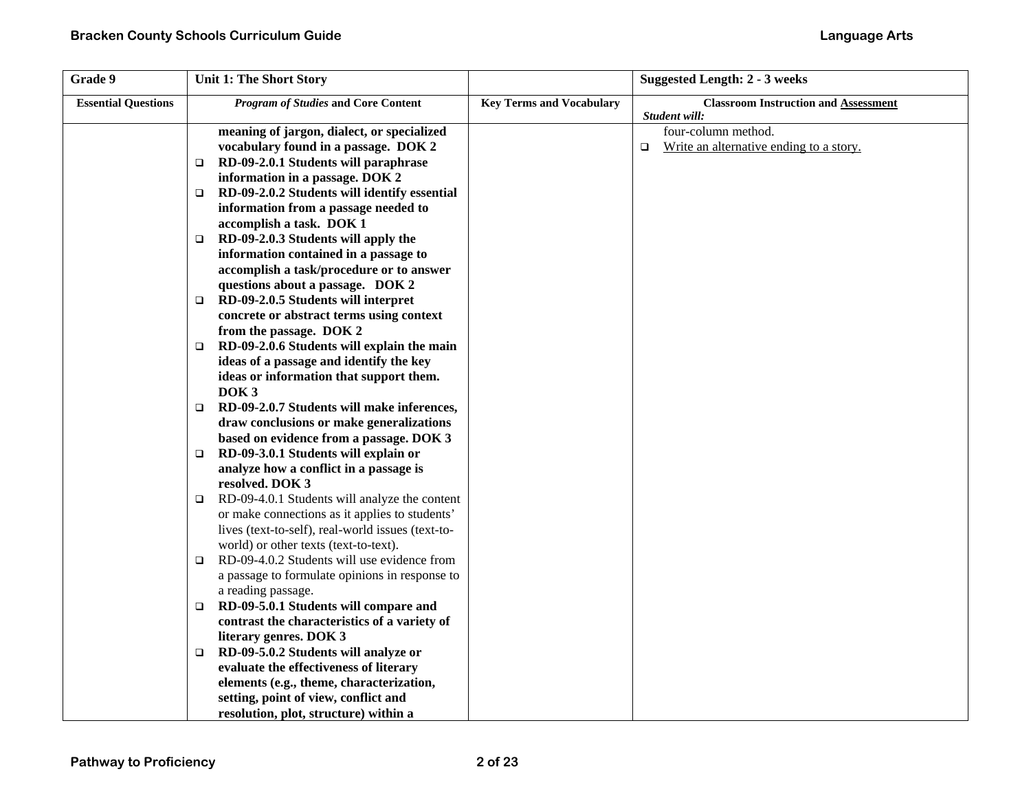| Grade 9                    | <b>Unit 1: The Short Story</b>                         |                                 | <b>Suggested Length: 2 - 3 weeks</b>          |
|----------------------------|--------------------------------------------------------|---------------------------------|-----------------------------------------------|
| <b>Essential Questions</b> | <b>Program of Studies and Core Content</b>             | <b>Key Terms and Vocabulary</b> | <b>Classroom Instruction and Assessment</b>   |
|                            |                                                        |                                 | Student will:                                 |
|                            | meaning of jargon, dialect, or specialized             |                                 | four-column method.                           |
|                            | vocabulary found in a passage. DOK 2                   |                                 | Write an alternative ending to a story.<br>o. |
|                            | RD-09-2.0.1 Students will paraphrase<br>□              |                                 |                                               |
|                            | information in a passage. DOK 2                        |                                 |                                               |
|                            | RD-09-2.0.2 Students will identify essential<br>$\Box$ |                                 |                                               |
|                            | information from a passage needed to                   |                                 |                                               |
|                            | accomplish a task. DOK 1                               |                                 |                                               |
|                            | RD-09-2.0.3 Students will apply the<br>□               |                                 |                                               |
|                            | information contained in a passage to                  |                                 |                                               |
|                            | accomplish a task/procedure or to answer               |                                 |                                               |
|                            | questions about a passage. DOK 2                       |                                 |                                               |
|                            | RD-09-2.0.5 Students will interpret<br>$\Box$          |                                 |                                               |
|                            | concrete or abstract terms using context               |                                 |                                               |
|                            | from the passage. DOK 2                                |                                 |                                               |
|                            | RD-09-2.0.6 Students will explain the main<br>$\Box$   |                                 |                                               |
|                            | ideas of a passage and identify the key                |                                 |                                               |
|                            | ideas or information that support them.                |                                 |                                               |
|                            | DOK <sub>3</sub>                                       |                                 |                                               |
|                            | RD-09-2.0.7 Students will make inferences,<br>□        |                                 |                                               |
|                            | draw conclusions or make generalizations               |                                 |                                               |
|                            | based on evidence from a passage. DOK 3                |                                 |                                               |
|                            | RD-09-3.0.1 Students will explain or<br>$\Box$         |                                 |                                               |
|                            | analyze how a conflict in a passage is                 |                                 |                                               |
|                            | resolved. DOK 3                                        |                                 |                                               |
|                            | RD-09-4.0.1 Students will analyze the content<br>❏     |                                 |                                               |
|                            | or make connections as it applies to students'         |                                 |                                               |
|                            | lives (text-to-self), real-world issues (text-to-      |                                 |                                               |
|                            | world) or other texts (text-to-text).                  |                                 |                                               |
|                            | RD-09-4.0.2 Students will use evidence from<br>□       |                                 |                                               |
|                            | a passage to formulate opinions in response to         |                                 |                                               |
|                            | a reading passage.                                     |                                 |                                               |
|                            | RD-09-5.0.1 Students will compare and<br>$\Box$        |                                 |                                               |
|                            | contrast the characteristics of a variety of           |                                 |                                               |
|                            | literary genres. DOK 3                                 |                                 |                                               |
|                            | RD-09-5.0.2 Students will analyze or<br>$\Box$         |                                 |                                               |
|                            | evaluate the effectiveness of literary                 |                                 |                                               |
|                            | elements (e.g., theme, characterization,               |                                 |                                               |
|                            | setting, point of view, conflict and                   |                                 |                                               |
|                            | resolution, plot, structure) within a                  |                                 |                                               |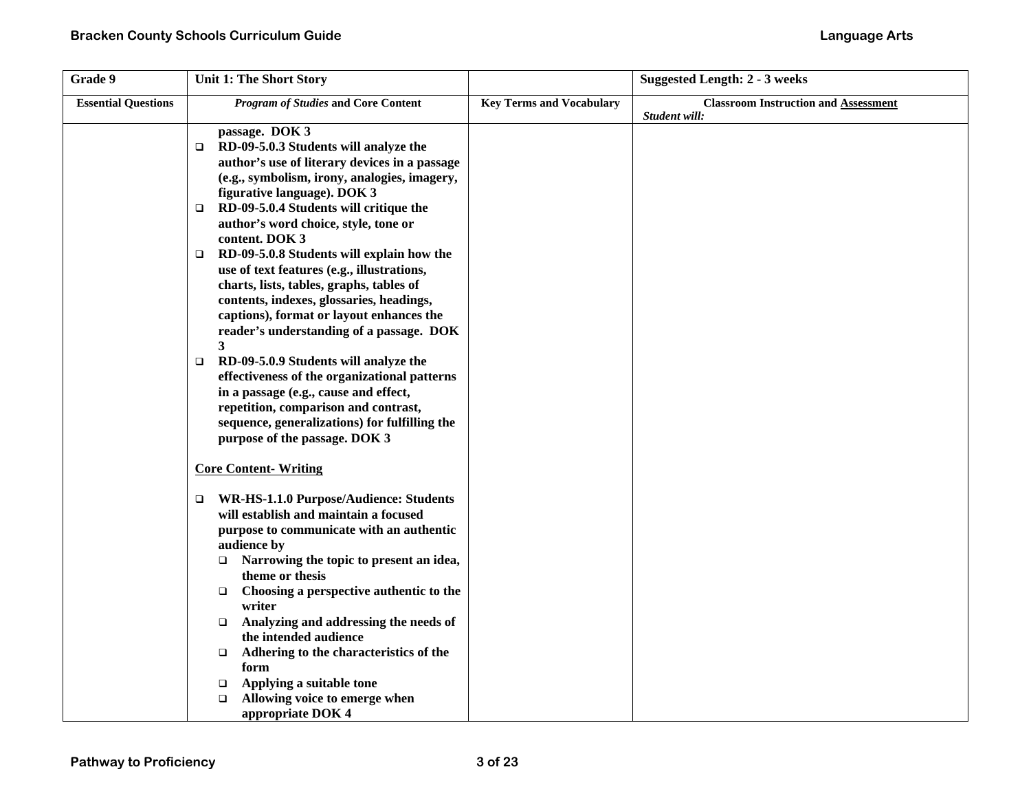| Grade 9                    | Unit 1: The Short Story                                                                                                                                                                                                                                                                                                                                                                                                                                                                                                                                                                    |                                 | <b>Suggested Length: 2 - 3 weeks</b>        |
|----------------------------|--------------------------------------------------------------------------------------------------------------------------------------------------------------------------------------------------------------------------------------------------------------------------------------------------------------------------------------------------------------------------------------------------------------------------------------------------------------------------------------------------------------------------------------------------------------------------------------------|---------------------------------|---------------------------------------------|
| <b>Essential Questions</b> | <b>Program of Studies and Core Content</b>                                                                                                                                                                                                                                                                                                                                                                                                                                                                                                                                                 | <b>Key Terms and Vocabulary</b> | <b>Classroom Instruction and Assessment</b> |
|                            | passage. DOK 3<br>RD-09-5.0.3 Students will analyze the<br>▫<br>author's use of literary devices in a passage<br>(e.g., symbolism, irony, analogies, imagery,<br>figurative language). DOK 3<br>RD-09-5.0.4 Students will critique the<br>□<br>author's word choice, style, tone or<br>content. DOK 3<br>RD-09-5.0.8 Students will explain how the<br>$\Box$<br>use of text features (e.g., illustrations,<br>charts, lists, tables, graphs, tables of<br>contents, indexes, glossaries, headings,<br>captions), format or layout enhances the<br>reader's understanding of a passage. DOK |                                 | Student will:                               |
|                            | 3<br>RD-09-5.0.9 Students will analyze the<br>$\Box$<br>effectiveness of the organizational patterns<br>in a passage (e.g., cause and effect,<br>repetition, comparison and contrast,<br>sequence, generalizations) for fulfilling the<br>purpose of the passage. DOK 3                                                                                                                                                                                                                                                                                                                    |                                 |                                             |
|                            | <b>Core Content-Writing</b>                                                                                                                                                                                                                                                                                                                                                                                                                                                                                                                                                                |                                 |                                             |
|                            | WR-HS-1.1.0 Purpose/Audience: Students<br>□<br>will establish and maintain a focused<br>purpose to communicate with an authentic<br>audience by<br>Narrowing the topic to present an idea,<br>theme or thesis<br>Choosing a perspective authentic to the<br>$\Box$<br>writer<br>Analyzing and addressing the needs of<br>$\Box$<br>the intended audience<br>Adhering to the characteristics of the<br>$\Box$<br>form<br>Applying a suitable tone<br>$\Box$<br>Allowing voice to emerge when<br>$\Box$                                                                                      |                                 |                                             |
|                            | appropriate DOK 4                                                                                                                                                                                                                                                                                                                                                                                                                                                                                                                                                                          |                                 |                                             |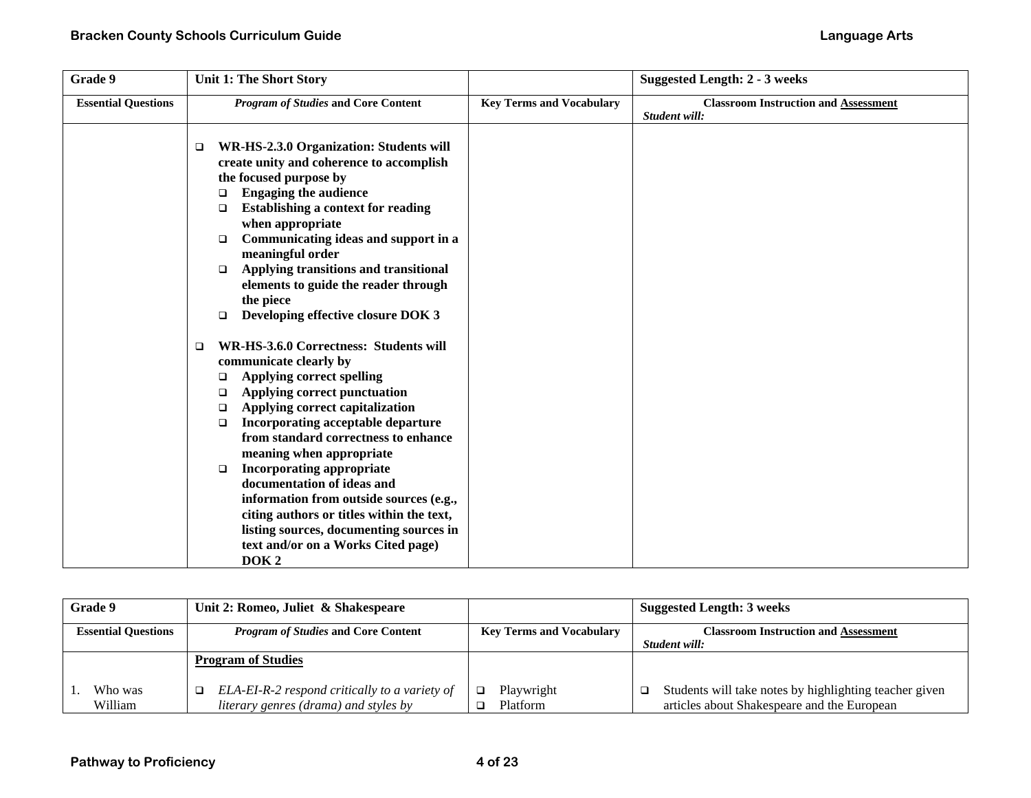| Grade 9                    | <b>Unit 1: The Short Story</b>                                                |                                 | <b>Suggested Length: 2 - 3 weeks</b>                         |
|----------------------------|-------------------------------------------------------------------------------|---------------------------------|--------------------------------------------------------------|
| <b>Essential Questions</b> | <b>Program of Studies and Core Content</b>                                    | <b>Key Terms and Vocabulary</b> | <b>Classroom Instruction and Assessment</b><br>Student will: |
|                            |                                                                               |                                 |                                                              |
|                            | WR-HS-2.3.0 Organization: Students will<br>□                                  |                                 |                                                              |
|                            | create unity and coherence to accomplish                                      |                                 |                                                              |
|                            | the focused purpose by                                                        |                                 |                                                              |
|                            | <b>Engaging the audience</b><br>□                                             |                                 |                                                              |
|                            | <b>Establishing a context for reading</b><br>□                                |                                 |                                                              |
|                            | when appropriate                                                              |                                 |                                                              |
|                            | Communicating ideas and support in a<br>□                                     |                                 |                                                              |
|                            | meaningful order                                                              |                                 |                                                              |
|                            | Applying transitions and transitional<br>□                                    |                                 |                                                              |
|                            | elements to guide the reader through                                          |                                 |                                                              |
|                            | the piece                                                                     |                                 |                                                              |
|                            | Developing effective closure DOK 3<br>$\Box$                                  |                                 |                                                              |
|                            | WR-HS-3.6.0 Correctness: Students will<br>❏                                   |                                 |                                                              |
|                            | communicate clearly by                                                        |                                 |                                                              |
|                            | <b>Applying correct spelling</b><br>□                                         |                                 |                                                              |
|                            | Applying correct punctuation<br>$\Box$                                        |                                 |                                                              |
|                            | Applying correct capitalization<br>□                                          |                                 |                                                              |
|                            | Incorporating acceptable departure<br>$\Box$                                  |                                 |                                                              |
|                            | from standard correctness to enhance                                          |                                 |                                                              |
|                            | meaning when appropriate                                                      |                                 |                                                              |
|                            | <b>Incorporating appropriate</b><br>$\Box$                                    |                                 |                                                              |
|                            | documentation of ideas and                                                    |                                 |                                                              |
|                            | information from outside sources (e.g.,                                       |                                 |                                                              |
|                            | citing authors or titles within the text,                                     |                                 |                                                              |
|                            | listing sources, documenting sources in<br>text and/or on a Works Cited page) |                                 |                                                              |
|                            | DOK <sub>2</sub>                                                              |                                 |                                                              |
|                            |                                                                               |                                 |                                                              |

| <b>Grade 9</b>             | Unit 2: Romeo, Juliet & Shakespeare                                                         |                                 | <b>Suggested Length: 3 weeks</b>                                                                      |
|----------------------------|---------------------------------------------------------------------------------------------|---------------------------------|-------------------------------------------------------------------------------------------------------|
| <b>Essential Questions</b> | <b>Program of Studies and Core Content</b>                                                  | <b>Key Terms and Vocabulary</b> | <b>Classroom Instruction and Assessment</b>                                                           |
|                            |                                                                                             |                                 | Student will:                                                                                         |
|                            | <b>Program of Studies</b>                                                                   |                                 |                                                                                                       |
| Who was<br>William         | ELA-EI-R-2 respond critically to a variety of<br>□<br>literary genres (drama) and styles by | Playwright<br><b>Platform</b>   | Students will take notes by highlighting teacher given<br>articles about Shakespeare and the European |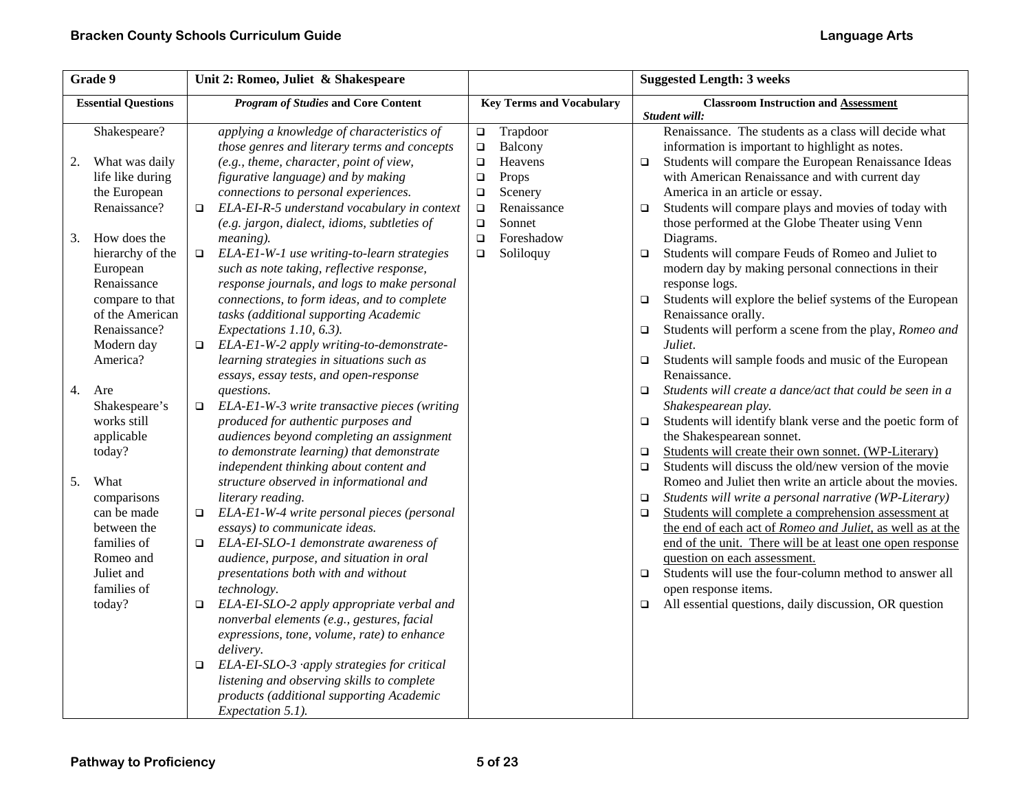|    | Grade 9                    |        | Unit 2: Romeo, Juliet & Shakespeare                                                        |                  |                                 |        | <b>Suggested Length: 3 weeks</b>                                                                         |
|----|----------------------------|--------|--------------------------------------------------------------------------------------------|------------------|---------------------------------|--------|----------------------------------------------------------------------------------------------------------|
|    | <b>Essential Questions</b> |        | <b>Program of Studies and Core Content</b>                                                 |                  | <b>Key Terms and Vocabulary</b> |        | <b>Classroom Instruction and Assessment</b><br>Student will:                                             |
|    | Shakespeare?               |        | applying a knowledge of characteristics of<br>those genres and literary terms and concepts | $\Box$<br>$\Box$ | Trapdoor<br>Balcony             |        | Renaissance. The students as a class will decide what<br>information is important to highlight as notes. |
| 2. | What was daily             |        | (e.g., theme, character, point of view,                                                    | $\Box$           | Heavens                         | $\Box$ | Students will compare the European Renaissance Ideas                                                     |
|    | life like during           |        | figurative language) and by making                                                         | $\Box$           | Props                           |        | with American Renaissance and with current day                                                           |
|    | the European               |        | connections to personal experiences.                                                       | $\Box$           | Scenery                         |        | America in an article or essay.                                                                          |
|    | Renaissance?               | $\Box$ | ELA-EI-R-5 understand vocabulary in context                                                | $\Box$           | Renaissance                     | $\Box$ | Students will compare plays and movies of today with                                                     |
|    |                            |        | (e.g. jargon, dialect, idioms, subtleties of                                               | $\Box$           | Sonnet                          |        | those performed at the Globe Theater using Venn                                                          |
| 3. | How does the               |        | meaning).                                                                                  | $\Box$           | Foreshadow                      |        | Diagrams.                                                                                                |
|    | hierarchy of the           | $\Box$ | ELA-E1-W-1 use writing-to-learn strategies                                                 | $\Box$           | Soliloquy                       | $\Box$ | Students will compare Feuds of Romeo and Juliet to                                                       |
|    | European                   |        | such as note taking, reflective response,                                                  |                  |                                 |        | modern day by making personal connections in their                                                       |
|    | Renaissance                |        | response journals, and logs to make personal                                               |                  |                                 |        | response logs.                                                                                           |
|    | compare to that            |        | connections, to form ideas, and to complete                                                |                  |                                 | $\Box$ | Students will explore the belief systems of the European                                                 |
|    | of the American            |        | tasks (additional supporting Academic                                                      |                  |                                 |        | Renaissance orally.                                                                                      |
|    | Renaissance?               |        | Expectations 1.10, 6.3).                                                                   |                  |                                 | $\Box$ | Students will perform a scene from the play, Romeo and<br>Juliet.                                        |
|    | Modern day<br>America?     | $\Box$ | ELA-E1-W-2 apply writing-to-demonstrate-<br>learning strategies in situations such as      |                  |                                 | $\Box$ | Students will sample foods and music of the European                                                     |
|    |                            |        | essays, essay tests, and open-response                                                     |                  |                                 |        | Renaissance.                                                                                             |
| 4. | Are                        |        | questions.                                                                                 |                  |                                 | $\Box$ | Students will create a dance/act that could be seen in a                                                 |
|    | Shakespeare's              | $\Box$ | ELA-E1-W-3 write transactive pieces (writing                                               |                  |                                 |        | Shakespearean play.                                                                                      |
|    | works still                |        | produced for authentic purposes and                                                        |                  |                                 | $\Box$ | Students will identify blank verse and the poetic form of                                                |
|    | applicable                 |        | audiences beyond completing an assignment                                                  |                  |                                 |        | the Shakespearean sonnet.                                                                                |
|    | today?                     |        | to demonstrate learning) that demonstrate                                                  |                  |                                 | $\Box$ | Students will create their own sonnet. (WP-Literary)                                                     |
|    |                            |        | independent thinking about content and                                                     |                  |                                 | $\Box$ | Students will discuss the old/new version of the movie                                                   |
| 5. | What                       |        | structure observed in informational and                                                    |                  |                                 |        | Romeo and Juliet then write an article about the movies.                                                 |
|    | comparisons                |        | literary reading.                                                                          |                  |                                 | $\Box$ | Students will write a personal narrative (WP-Literary)                                                   |
|    | can be made                | $\Box$ | ELA-E1-W-4 write personal pieces (personal                                                 |                  |                                 | $\Box$ | Students will complete a comprehension assessment at                                                     |
|    | between the                |        | essays) to communicate ideas.                                                              |                  |                                 |        | the end of each act of Romeo and Juliet, as well as at the                                               |
|    | families of                | $\Box$ | ELA-EI-SLO-1 demonstrate awareness of                                                      |                  |                                 |        | end of the unit. There will be at least one open response                                                |
|    | Romeo and                  |        | audience, purpose, and situation in oral                                                   |                  |                                 |        | question on each assessment.                                                                             |
|    | Juliet and                 |        | presentations both with and without                                                        |                  |                                 | $\Box$ | Students will use the four-column method to answer all                                                   |
|    | families of                |        | technology.                                                                                |                  |                                 |        | open response items.                                                                                     |
|    | today?                     | $\Box$ | ELA-EI-SLO-2 apply appropriate verbal and                                                  |                  |                                 | $\Box$ | All essential questions, daily discussion, OR question                                                   |
|    |                            |        | nonverbal elements (e.g., gestures, facial                                                 |                  |                                 |        |                                                                                                          |
|    |                            |        | expressions, tone, volume, rate) to enhance                                                |                  |                                 |        |                                                                                                          |
|    |                            |        | delivery.                                                                                  |                  |                                 |        |                                                                                                          |
|    |                            | $\Box$ | $ELA-EI-SLO-3$ apply strategies for critical<br>listening and observing skills to complete |                  |                                 |        |                                                                                                          |
|    |                            |        | products (additional supporting Academic                                                   |                  |                                 |        |                                                                                                          |
|    |                            |        | Expectation 5.1).                                                                          |                  |                                 |        |                                                                                                          |
|    |                            |        |                                                                                            |                  |                                 |        |                                                                                                          |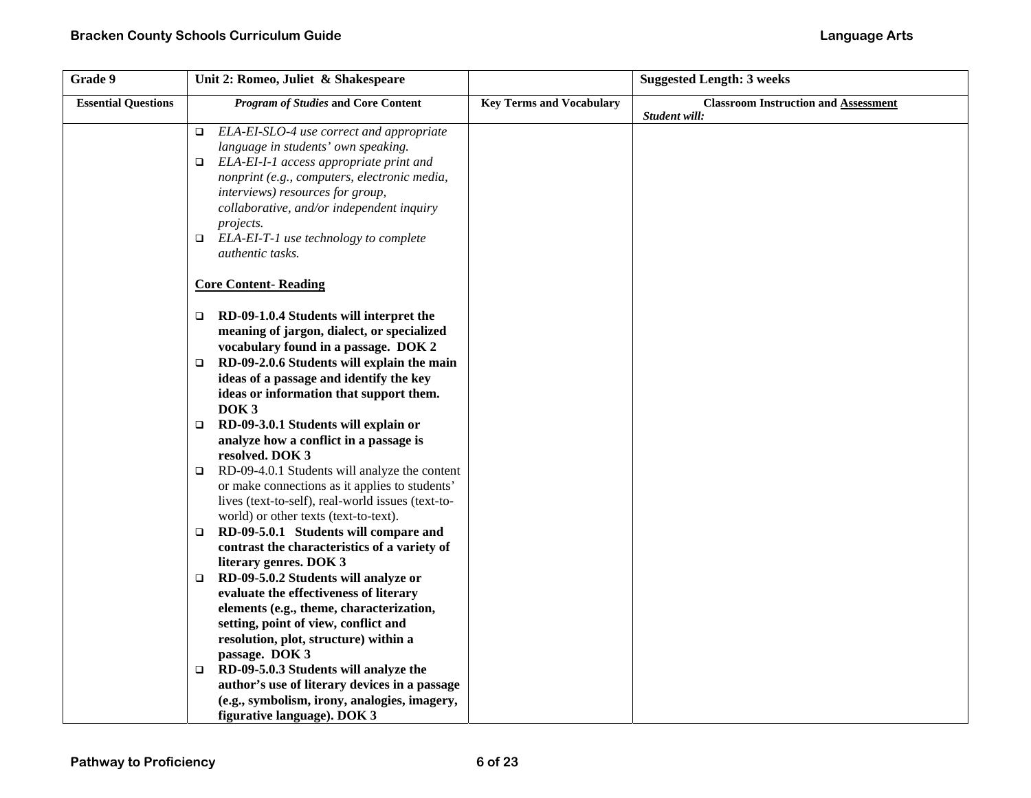| Grade 9                    | Unit 2: Romeo, Juliet & Shakespeare                                                                 |                                 | <b>Suggested Length: 3 weeks</b>            |
|----------------------------|-----------------------------------------------------------------------------------------------------|---------------------------------|---------------------------------------------|
| <b>Essential Questions</b> | <b>Program of Studies and Core Content</b>                                                          | <b>Key Terms and Vocabulary</b> | <b>Classroom Instruction and Assessment</b> |
|                            |                                                                                                     |                                 | Student will:                               |
|                            | ELA-EI-SLO-4 use correct and appropriate<br>$\Box$                                                  |                                 |                                             |
|                            | language in students' own speaking.                                                                 |                                 |                                             |
|                            | ELA-EI-I-1 access appropriate print and<br>□                                                        |                                 |                                             |
|                            | nonprint (e.g., computers, electronic media,                                                        |                                 |                                             |
|                            | interviews) resources for group,<br>collaborative, and/or independent inquiry                       |                                 |                                             |
|                            | projects.                                                                                           |                                 |                                             |
|                            | ELA-EI-T-1 use technology to complete<br>$\Box$                                                     |                                 |                                             |
|                            | authentic tasks.                                                                                    |                                 |                                             |
|                            |                                                                                                     |                                 |                                             |
|                            | <b>Core Content-Reading</b>                                                                         |                                 |                                             |
|                            | RD-09-1.0.4 Students will interpret the<br>$\Box$                                                   |                                 |                                             |
|                            | meaning of jargon, dialect, or specialized                                                          |                                 |                                             |
|                            | vocabulary found in a passage. DOK 2                                                                |                                 |                                             |
|                            | RD-09-2.0.6 Students will explain the main<br>$\Box$                                                |                                 |                                             |
|                            | ideas of a passage and identify the key                                                             |                                 |                                             |
|                            | ideas or information that support them.                                                             |                                 |                                             |
|                            | DOK <sub>3</sub>                                                                                    |                                 |                                             |
|                            | RD-09-3.0.1 Students will explain or<br>□                                                           |                                 |                                             |
|                            | analyze how a conflict in a passage is                                                              |                                 |                                             |
|                            | resolved. DOK 3                                                                                     |                                 |                                             |
|                            | RD-09-4.0.1 Students will analyze the content<br>$\Box$                                             |                                 |                                             |
|                            | or make connections as it applies to students'<br>lives (text-to-self), real-world issues (text-to- |                                 |                                             |
|                            | world) or other texts (text-to-text).                                                               |                                 |                                             |
|                            | RD-09-5.0.1 Students will compare and<br>$\Box$                                                     |                                 |                                             |
|                            | contrast the characteristics of a variety of                                                        |                                 |                                             |
|                            | literary genres. DOK 3                                                                              |                                 |                                             |
|                            | RD-09-5.0.2 Students will analyze or<br>$\Box$                                                      |                                 |                                             |
|                            | evaluate the effectiveness of literary                                                              |                                 |                                             |
|                            | elements (e.g., theme, characterization,                                                            |                                 |                                             |
|                            | setting, point of view, conflict and                                                                |                                 |                                             |
|                            | resolution, plot, structure) within a                                                               |                                 |                                             |
|                            | passage. DOK 3                                                                                      |                                 |                                             |
|                            | RD-09-5.0.3 Students will analyze the<br>$\Box$                                                     |                                 |                                             |
|                            | author's use of literary devices in a passage                                                       |                                 |                                             |
|                            | (e.g., symbolism, irony, analogies, imagery,                                                        |                                 |                                             |
|                            | figurative language). DOK 3                                                                         |                                 |                                             |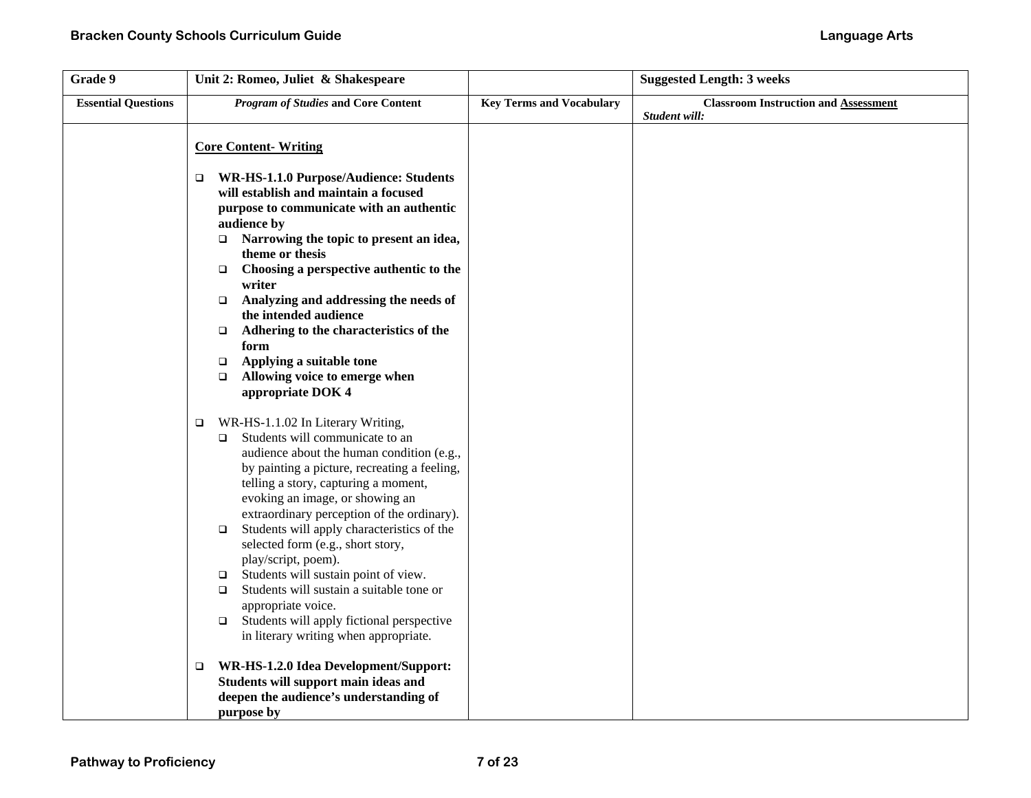| Grade 9                    | Unit 2: Romeo, Juliet & Shakespeare                                                                                                                                                                                                                                                                                                                                                                                                                                                                                                                                                                                                                                                   |                                 | <b>Suggested Length: 3 weeks</b>                             |
|----------------------------|---------------------------------------------------------------------------------------------------------------------------------------------------------------------------------------------------------------------------------------------------------------------------------------------------------------------------------------------------------------------------------------------------------------------------------------------------------------------------------------------------------------------------------------------------------------------------------------------------------------------------------------------------------------------------------------|---------------------------------|--------------------------------------------------------------|
| <b>Essential Questions</b> | <b>Program of Studies and Core Content</b>                                                                                                                                                                                                                                                                                                                                                                                                                                                                                                                                                                                                                                            | <b>Key Terms and Vocabulary</b> | <b>Classroom Instruction and Assessment</b><br>Student will: |
|                            | <b>Core Content-Writing</b>                                                                                                                                                                                                                                                                                                                                                                                                                                                                                                                                                                                                                                                           |                                 |                                                              |
|                            | WR-HS-1.1.0 Purpose/Audience: Students<br>$\Box$<br>will establish and maintain a focused<br>purpose to communicate with an authentic<br>audience by<br>$\Box$ Narrowing the topic to present an idea,<br>theme or thesis<br>Choosing a perspective authentic to the<br>$\Box$<br>writer<br>Analyzing and addressing the needs of<br>$\Box$<br>the intended audience<br>Adhering to the characteristics of the<br>$\Box$<br>form<br>Applying a suitable tone<br>$\Box$<br>Allowing voice to emerge when<br>$\Box$                                                                                                                                                                     |                                 |                                                              |
|                            | appropriate DOK 4<br>WR-HS-1.1.02 In Literary Writing,<br>$\Box$<br>Students will communicate to an<br>$\Box$<br>audience about the human condition (e.g.,<br>by painting a picture, recreating a feeling,<br>telling a story, capturing a moment,<br>evoking an image, or showing an<br>extraordinary perception of the ordinary).<br>Students will apply characteristics of the<br>$\Box$<br>selected form (e.g., short story,<br>play/script, poem).<br>Students will sustain point of view.<br>$\Box$<br>Students will sustain a suitable tone or<br>$\Box$<br>appropriate voice.<br>Students will apply fictional perspective<br>$\Box$<br>in literary writing when appropriate. |                                 |                                                              |
|                            | WR-HS-1.2.0 Idea Development/Support:<br>□<br>Students will support main ideas and<br>deepen the audience's understanding of<br>purpose by                                                                                                                                                                                                                                                                                                                                                                                                                                                                                                                                            |                                 |                                                              |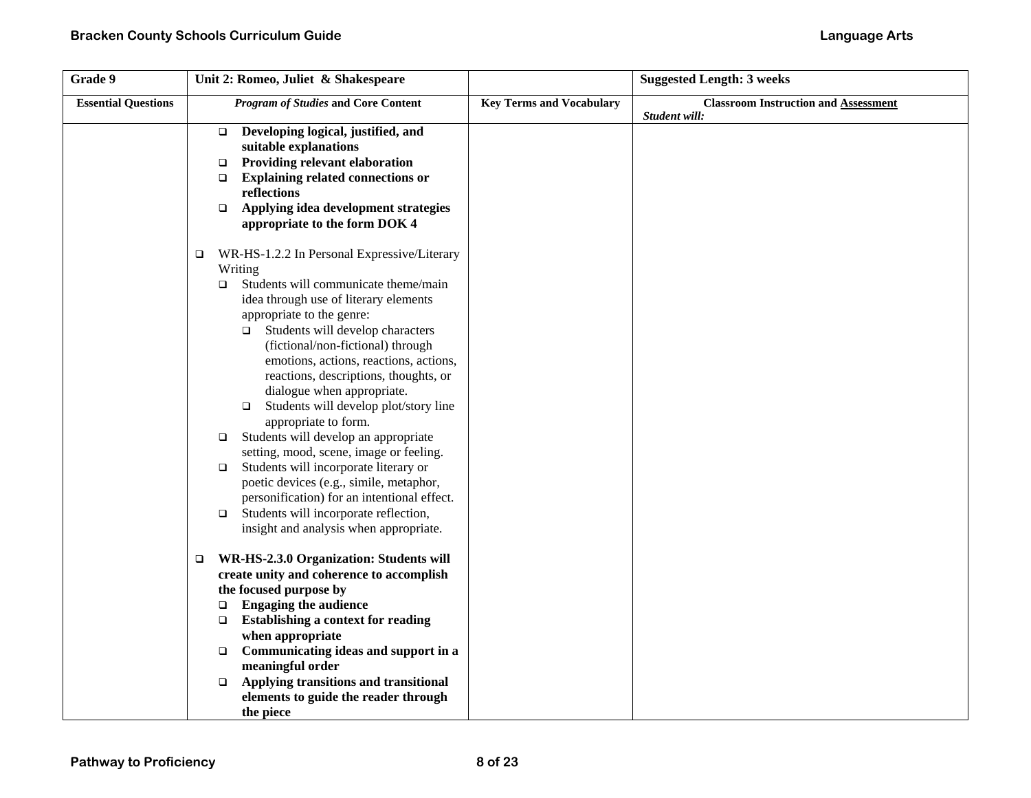| Grade 9                    | Unit 2: Romeo, Juliet & Shakespeare                                                                                                                                                                                                                                                                                                                                                                                                                                                                                                                                                                                                                                                                                                                                                                                                                                                                                                                                                                                                                                                                                                                                                                                                       |                                 | <b>Suggested Length: 3 weeks</b>            |
|----------------------------|-------------------------------------------------------------------------------------------------------------------------------------------------------------------------------------------------------------------------------------------------------------------------------------------------------------------------------------------------------------------------------------------------------------------------------------------------------------------------------------------------------------------------------------------------------------------------------------------------------------------------------------------------------------------------------------------------------------------------------------------------------------------------------------------------------------------------------------------------------------------------------------------------------------------------------------------------------------------------------------------------------------------------------------------------------------------------------------------------------------------------------------------------------------------------------------------------------------------------------------------|---------------------------------|---------------------------------------------|
| <b>Essential Questions</b> | <b>Program of Studies and Core Content</b>                                                                                                                                                                                                                                                                                                                                                                                                                                                                                                                                                                                                                                                                                                                                                                                                                                                                                                                                                                                                                                                                                                                                                                                                | <b>Key Terms and Vocabulary</b> | <b>Classroom Instruction and Assessment</b> |
|                            | Developing logical, justified, and<br>$\Box$<br>suitable explanations<br>Providing relevant elaboration<br>$\Box$<br><b>Explaining related connections or</b><br>$\Box$<br>reflections<br>Applying idea development strategies<br>$\Box$<br>appropriate to the form DOK 4                                                                                                                                                                                                                                                                                                                                                                                                                                                                                                                                                                                                                                                                                                                                                                                                                                                                                                                                                                 |                                 | Student will:                               |
|                            | WR-HS-1.2.2 In Personal Expressive/Literary<br>$\Box$<br>Writing<br>Students will communicate theme/main<br>$\Box$<br>idea through use of literary elements<br>appropriate to the genre:<br>$\Box$ Students will develop characters<br>(fictional/non-fictional) through<br>emotions, actions, reactions, actions,<br>reactions, descriptions, thoughts, or<br>dialogue when appropriate.<br>Students will develop plot/story line<br>$\Box$<br>appropriate to form.<br>Students will develop an appropriate<br>$\Box$<br>setting, mood, scene, image or feeling.<br>Students will incorporate literary or<br>$\Box$<br>poetic devices (e.g., simile, metaphor,<br>personification) for an intentional effect.<br>Students will incorporate reflection,<br>$\Box$<br>insight and analysis when appropriate.<br>WR-HS-2.3.0 Organization: Students will<br>$\Box$<br>create unity and coherence to accomplish<br>the focused purpose by<br><b>Engaging the audience</b><br>$\Box$<br><b>Establishing a context for reading</b><br>$\Box$<br>when appropriate<br>Communicating ideas and support in a<br>$\Box$<br>meaningful order<br>Applying transitions and transitional<br>$\Box$<br>elements to guide the reader through<br>the piece |                                 |                                             |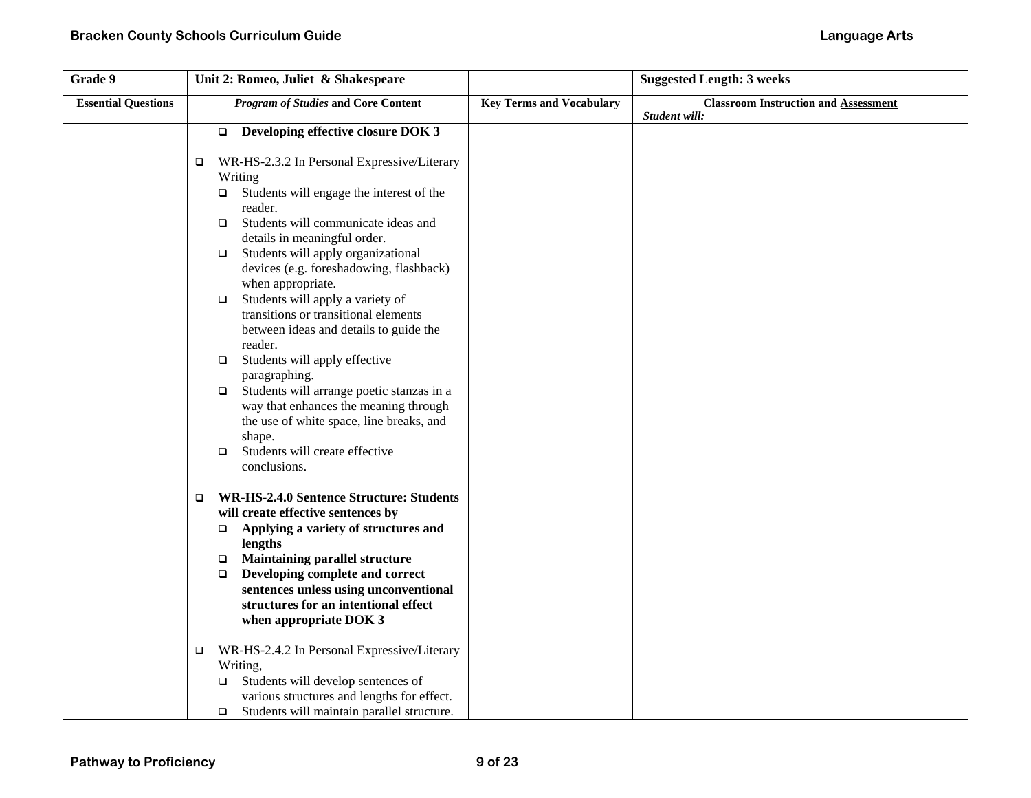| Grade 9                    | Unit 2: Romeo, Juliet & Shakespeare                                                                                                                                                                                                                                                                                                                                                                                                                                                                                                                                                                                                                                                                                                          |                                 | <b>Suggested Length: 3 weeks</b>            |
|----------------------------|----------------------------------------------------------------------------------------------------------------------------------------------------------------------------------------------------------------------------------------------------------------------------------------------------------------------------------------------------------------------------------------------------------------------------------------------------------------------------------------------------------------------------------------------------------------------------------------------------------------------------------------------------------------------------------------------------------------------------------------------|---------------------------------|---------------------------------------------|
| <b>Essential Questions</b> | <b>Program of Studies and Core Content</b>                                                                                                                                                                                                                                                                                                                                                                                                                                                                                                                                                                                                                                                                                                   | <b>Key Terms and Vocabulary</b> | <b>Classroom Instruction and Assessment</b> |
|                            | $\Box$ Developing effective closure DOK 3<br>WR-HS-2.3.2 In Personal Expressive/Literary<br>$\Box$<br>Writing<br>Students will engage the interest of the<br>$\Box$<br>reader.<br>Students will communicate ideas and<br>$\Box$<br>details in meaningful order.<br>Students will apply organizational<br>$\Box$<br>devices (e.g. foreshadowing, flashback)<br>when appropriate.<br>Students will apply a variety of<br>$\Box$<br>transitions or transitional elements<br>between ideas and details to guide the<br>reader.<br>Students will apply effective<br>$\Box$<br>paragraphing.<br>Students will arrange poetic stanzas in a<br>$\Box$<br>way that enhances the meaning through<br>the use of white space, line breaks, and<br>shape. |                                 | Student will:                               |
|                            | Students will create effective<br>$\Box$<br>conclusions.<br><b>WR-HS-2.4.0 Sentence Structure: Students</b><br>□<br>will create effective sentences by<br>Applying a variety of structures and<br>$\Box$<br>lengths<br><b>Maintaining parallel structure</b><br>$\Box$<br>Developing complete and correct<br>$\Box$<br>sentences unless using unconventional<br>structures for an intentional effect<br>when appropriate DOK 3<br>WR-HS-2.4.2 In Personal Expressive/Literary<br>□<br>Writing,<br>Students will develop sentences of<br>$\Box$<br>various structures and lengths for effect.<br>Students will maintain parallel structure.<br>$\Box$                                                                                         |                                 |                                             |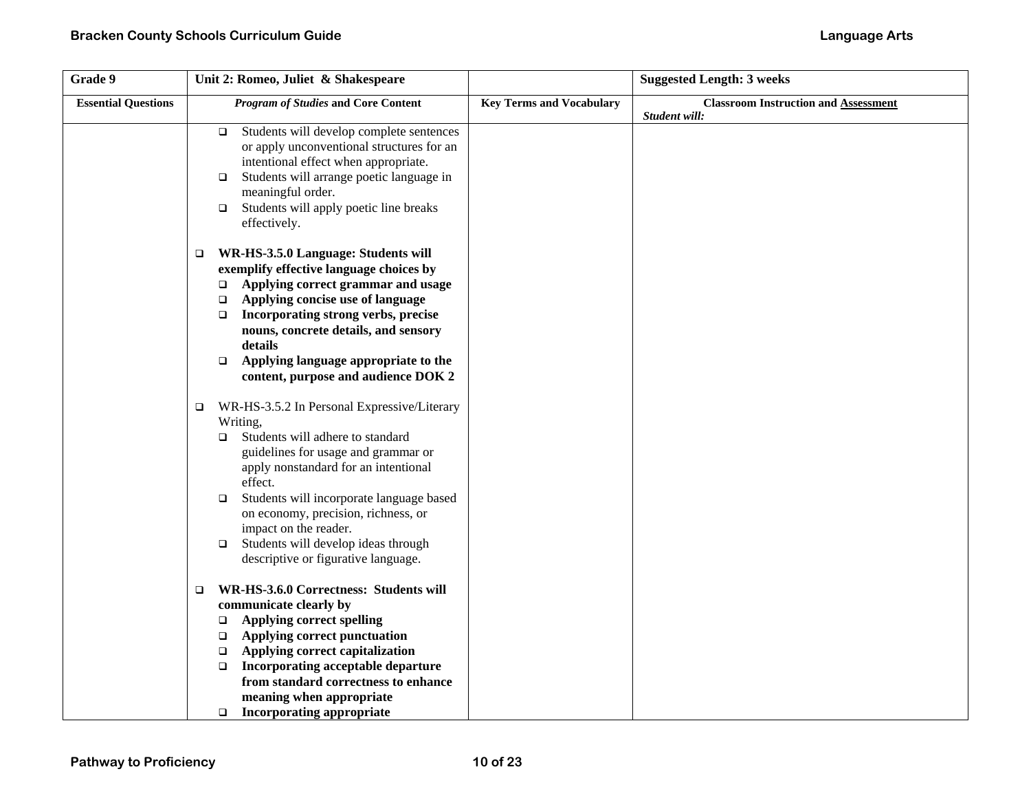| Grade 9                    | Unit 2: Romeo, Juliet & Shakespeare                                                                                                                                                                                                                                                                                                                                                                      |                                 | <b>Suggested Length: 3 weeks</b>                             |
|----------------------------|----------------------------------------------------------------------------------------------------------------------------------------------------------------------------------------------------------------------------------------------------------------------------------------------------------------------------------------------------------------------------------------------------------|---------------------------------|--------------------------------------------------------------|
| <b>Essential Questions</b> | <b>Program of Studies and Core Content</b>                                                                                                                                                                                                                                                                                                                                                               | <b>Key Terms and Vocabulary</b> | <b>Classroom Instruction and Assessment</b><br>Student will: |
|                            | Students will develop complete sentences<br>$\Box$<br>or apply unconventional structures for an<br>intentional effect when appropriate.<br>Students will arrange poetic language in<br>$\Box$<br>meaningful order.<br>Students will apply poetic line breaks<br>$\Box$<br>effectively.                                                                                                                   |                                 |                                                              |
|                            | WR-HS-3.5.0 Language: Students will<br>$\Box$<br>exemplify effective language choices by<br>Applying correct grammar and usage<br>$\Box$<br>Applying concise use of language<br>$\Box$<br>Incorporating strong verbs, precise<br>$\Box$<br>nouns, concrete details, and sensory<br>details<br>Applying language appropriate to the<br>$\Box$<br>content, purpose and audience DOK 2                      |                                 |                                                              |
|                            | WR-HS-3.5.2 In Personal Expressive/Literary<br>□<br>Writing,<br>Students will adhere to standard<br>□<br>guidelines for usage and grammar or<br>apply nonstandard for an intentional<br>effect.<br>Students will incorporate language based<br>□<br>on economy, precision, richness, or<br>impact on the reader.<br>Students will develop ideas through<br>$\Box$<br>descriptive or figurative language. |                                 |                                                              |
|                            | WR-HS-3.6.0 Correctness: Students will<br>□<br>communicate clearly by<br><b>Applying correct spelling</b><br>$\Box$<br>Applying correct punctuation<br>$\Box$<br>Applying correct capitalization<br>$\Box$<br>Incorporating acceptable departure<br>$\Box$<br>from standard correctness to enhance<br>meaning when appropriate<br><b>Incorporating appropriate</b><br>$\Box$                             |                                 |                                                              |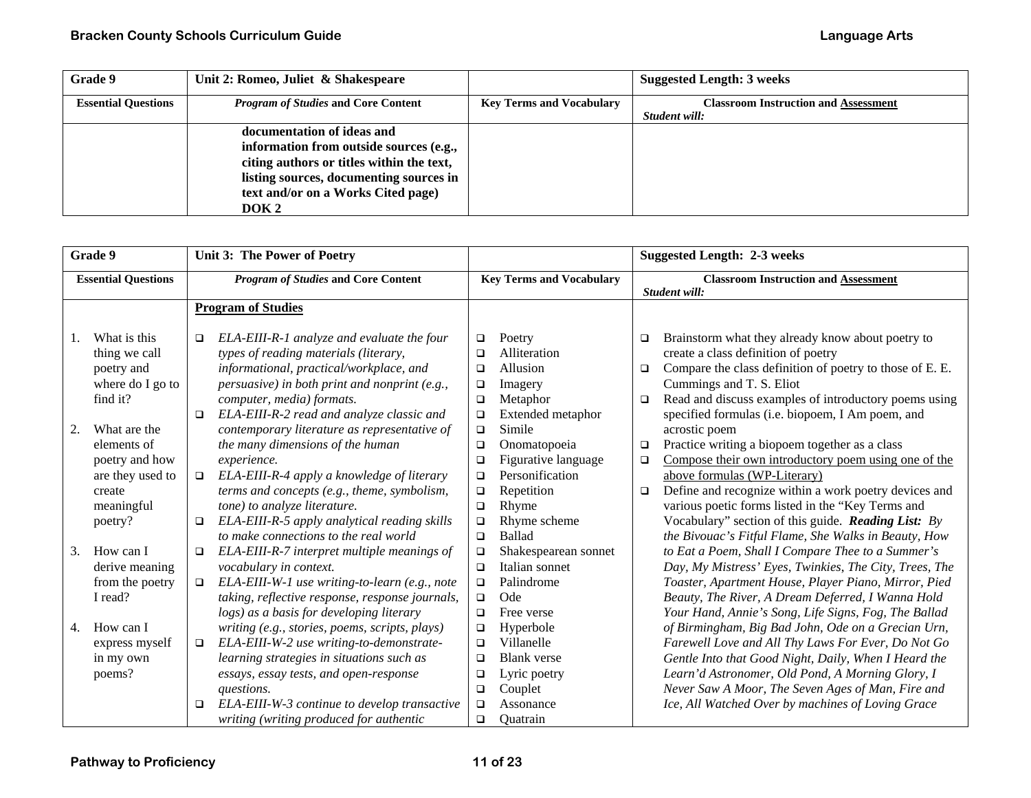| Grade 9                    | Unit 2: Romeo, Juliet & Shakespeare        |                                 | <b>Suggested Length: 3 weeks</b>            |
|----------------------------|--------------------------------------------|---------------------------------|---------------------------------------------|
| <b>Essential Questions</b> | <i>Program of Studies</i> and Core Content | <b>Key Terms and Vocabulary</b> | <b>Classroom Instruction and Assessment</b> |
|                            |                                            |                                 | Student will:                               |
|                            | documentation of ideas and                 |                                 |                                             |
|                            | information from outside sources (e.g.,    |                                 |                                             |
|                            | citing authors or titles within the text,  |                                 |                                             |
|                            | listing sources, documenting sources in    |                                 |                                             |
|                            | text and/or on a Works Cited page)         |                                 |                                             |
|                            | DOK 2                                      |                                 |                                             |

| Grade 9                    |                                             | Unit 3: The Power of Poetry                |                                                                                                                                | <b>Suggested Length: 2-3 weeks</b> |                                         |                                             |                                                                                                                                                      |
|----------------------------|---------------------------------------------|--------------------------------------------|--------------------------------------------------------------------------------------------------------------------------------|------------------------------------|-----------------------------------------|---------------------------------------------|------------------------------------------------------------------------------------------------------------------------------------------------------|
| <b>Essential Questions</b> |                                             | <b>Program of Studies and Core Content</b> |                                                                                                                                | <b>Key Terms and Vocabulary</b>    |                                         | <b>Classroom Instruction and Assessment</b> |                                                                                                                                                      |
|                            |                                             |                                            |                                                                                                                                |                                    |                                         |                                             | Student will:                                                                                                                                        |
|                            |                                             |                                            | <b>Program of Studies</b>                                                                                                      |                                    |                                         |                                             |                                                                                                                                                      |
| 1.                         | What is this<br>thing we call<br>poetry and | $\Box$                                     | ELA-EIII-R-1 analyze and evaluate the four<br>types of reading materials (literary,<br>informational, practical/workplace, and | $\Box$<br>□<br>$\Box$              | Poetry<br>Alliteration<br>Allusion      | $\Box$<br>$\Box$                            | Brainstorm what they already know about poetry to<br>create a class definition of poetry<br>Compare the class definition of poetry to those of E. E. |
|                            | where do I go to                            |                                            | persuasive) in both print and nonprint (e.g.,                                                                                  | $\Box$                             | Imagery                                 |                                             | Cummings and T. S. Eliot                                                                                                                             |
| 2.                         | find it?<br>What are the                    | $\Box$                                     | computer, media) formats.<br>ELA-EIII-R-2 read and analyze classic and<br>contemporary literature as representative of         | $\Box$<br>$\Box$<br>$\Box$         | Metaphor<br>Extended metaphor<br>Simile | $\Box$                                      | Read and discuss examples of introductory poems using<br>specified formulas (i.e. biopoem, I Am poem, and<br>acrostic poem                           |
|                            | elements of                                 |                                            | the many dimensions of the human                                                                                               | $\Box$                             | Onomatopoeia                            | $\Box$                                      | Practice writing a biopoem together as a class                                                                                                       |
|                            | poetry and how                              |                                            | experience.                                                                                                                    | $\Box$                             | Figurative language                     | $\Box$                                      | Compose their own introductory poem using one of the                                                                                                 |
|                            | are they used to                            | $\Box$                                     | ELA-EIII-R-4 apply a knowledge of literary                                                                                     | $\Box$                             | Personification                         |                                             | above formulas (WP-Literary)                                                                                                                         |
|                            | create                                      |                                            | terms and concepts (e.g., theme, symbolism,                                                                                    | $\Box$                             | Repetition                              | $\Box$                                      | Define and recognize within a work poetry devices and                                                                                                |
|                            | meaningful                                  |                                            | tone) to analyze literature.                                                                                                   | $\Box$                             | Rhyme                                   |                                             | various poetic forms listed in the "Key Terms and                                                                                                    |
|                            | poetry?                                     | $\Box$                                     | ELA-EIII-R-5 apply analytical reading skills                                                                                   | $\Box$                             | Rhyme scheme                            |                                             | Vocabulary" section of this guide. Reading List: By                                                                                                  |
|                            |                                             |                                            | to make connections to the real world                                                                                          | $\Box$                             | <b>Ballad</b>                           |                                             | the Bivouac's Fitful Flame, She Walks in Beauty, How                                                                                                 |
| 3.                         | How can I                                   | $\Box$                                     | ELA-EIII-R-7 interpret multiple meanings of                                                                                    | $\Box$                             | Shakespearean sonnet                    |                                             | to Eat a Poem, Shall I Compare Thee to a Summer's                                                                                                    |
|                            | derive meaning                              |                                            | vocabulary in context.                                                                                                         | $\Box$                             | Italian sonnet                          |                                             | Day, My Mistress' Eyes, Twinkies, The City, Trees, The                                                                                               |
|                            | from the poetry                             | $\Box$                                     | ELA-EIII-W-1 use writing-to-learn (e.g., note                                                                                  | $\Box$                             | Palindrome                              |                                             | Toaster, Apartment House, Player Piano, Mirror, Pied                                                                                                 |
|                            | I read?                                     |                                            | taking, reflective response, response journals,                                                                                | $\Box$                             | Ode                                     |                                             | Beauty, The River, A Dream Deferred, I Wanna Hold                                                                                                    |
|                            |                                             |                                            | logs) as a basis for developing literary                                                                                       | $\Box$                             | Free verse                              |                                             | Your Hand, Annie's Song, Life Signs, Fog, The Ballad                                                                                                 |
| 4.                         | How can I                                   |                                            | writing (e.g., stories, poems, scripts, plays)                                                                                 | $\Box$                             | Hyperbole                               |                                             | of Birmingham, Big Bad John, Ode on a Grecian Urn,                                                                                                   |
|                            | express myself                              | $\Box$                                     | ELA-EIII-W-2 use writing-to-demonstrate-                                                                                       | $\Box$                             | Villanelle                              |                                             | Farewell Love and All Thy Laws For Ever, Do Not Go                                                                                                   |
|                            | in my own                                   |                                            | learning strategies in situations such as                                                                                      | $\Box$                             | <b>Blank</b> verse                      |                                             | Gentle Into that Good Night, Daily, When I Heard the                                                                                                 |
|                            | poems?                                      |                                            | essays, essay tests, and open-response                                                                                         | $\Box$                             | Lyric poetry                            |                                             | Learn'd Astronomer, Old Pond, A Morning Glory, I                                                                                                     |
|                            |                                             |                                            | questions.                                                                                                                     | $\Box$                             | Couplet                                 |                                             | Never Saw A Moor, The Seven Ages of Man, Fire and                                                                                                    |
|                            |                                             | □                                          | ELA-EIII-W-3 continue to develop transactive                                                                                   | $\Box$                             | Assonance                               |                                             | Ice, All Watched Over by machines of Loving Grace                                                                                                    |
|                            |                                             |                                            | writing (writing produced for authentic                                                                                        | $\Box$                             | Ouatrain                                |                                             |                                                                                                                                                      |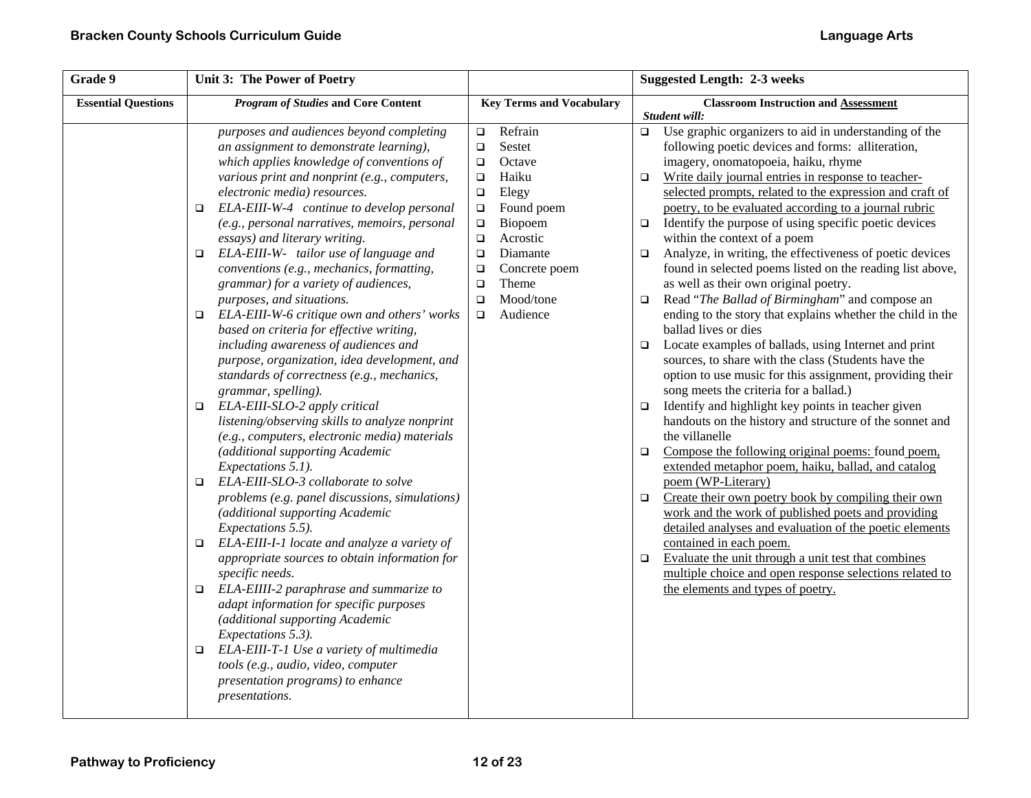| Grade 9<br>Unit 3: The Power of Poetry |                                                                                                                                                                                                                                                                                                                                                                                                                                                                                                                                                                                                                                                                                                                                                                                                                                                                                                                                                                                                                                                                                                                                                                                                                                                                                                                                                                                                                                                                                                                                                                                                      | <b>Suggested Length: 2-3 weeks</b>                                                                                                                                                                                                                                                  |                                                                                                                                                                                                                                                                                                                                                                                                                                                                                                                                                                                                                                                                                                                                                                                                                                                                                                                                                                                                                                                                                                                                                                                                                                                                                                                                                                                                                                                                                                                                                                                                                                                                                         |  |  |
|----------------------------------------|------------------------------------------------------------------------------------------------------------------------------------------------------------------------------------------------------------------------------------------------------------------------------------------------------------------------------------------------------------------------------------------------------------------------------------------------------------------------------------------------------------------------------------------------------------------------------------------------------------------------------------------------------------------------------------------------------------------------------------------------------------------------------------------------------------------------------------------------------------------------------------------------------------------------------------------------------------------------------------------------------------------------------------------------------------------------------------------------------------------------------------------------------------------------------------------------------------------------------------------------------------------------------------------------------------------------------------------------------------------------------------------------------------------------------------------------------------------------------------------------------------------------------------------------------------------------------------------------------|-------------------------------------------------------------------------------------------------------------------------------------------------------------------------------------------------------------------------------------------------------------------------------------|-----------------------------------------------------------------------------------------------------------------------------------------------------------------------------------------------------------------------------------------------------------------------------------------------------------------------------------------------------------------------------------------------------------------------------------------------------------------------------------------------------------------------------------------------------------------------------------------------------------------------------------------------------------------------------------------------------------------------------------------------------------------------------------------------------------------------------------------------------------------------------------------------------------------------------------------------------------------------------------------------------------------------------------------------------------------------------------------------------------------------------------------------------------------------------------------------------------------------------------------------------------------------------------------------------------------------------------------------------------------------------------------------------------------------------------------------------------------------------------------------------------------------------------------------------------------------------------------------------------------------------------------------------------------------------------------|--|--|
| <b>Essential Questions</b>             | <b>Program of Studies and Core Content</b>                                                                                                                                                                                                                                                                                                                                                                                                                                                                                                                                                                                                                                                                                                                                                                                                                                                                                                                                                                                                                                                                                                                                                                                                                                                                                                                                                                                                                                                                                                                                                           | <b>Key Terms and Vocabulary</b>                                                                                                                                                                                                                                                     | <b>Classroom Instruction and Assessment</b><br>Student will:                                                                                                                                                                                                                                                                                                                                                                                                                                                                                                                                                                                                                                                                                                                                                                                                                                                                                                                                                                                                                                                                                                                                                                                                                                                                                                                                                                                                                                                                                                                                                                                                                            |  |  |
|                                        | purposes and audiences beyond completing<br>an assignment to demonstrate learning),<br>which applies knowledge of conventions of<br>various print and nonprint (e.g., computers,<br>electronic media) resources.<br>ELA-EIII-W-4 continue to develop personal<br>$\Box$<br>(e.g., personal narratives, memoirs, personal<br>essays) and literary writing.<br>ELA-EIII-W- tailor use of language and<br>$\Box$<br>conventions (e.g., mechanics, formatting,<br>grammar) for a variety of audiences,<br>purposes, and situations.<br>$\Box$ ELA-EIII-W-6 critique own and others' works<br>based on criteria for effective writing,<br>including awareness of audiences and<br>purpose, organization, idea development, and<br>standards of correctness (e.g., mechanics,<br>grammar, spelling).<br>ELA-EIII-SLO-2 apply critical<br>$\Box$<br>listening/observing skills to analyze nonprint<br>(e.g., computers, electronic media) materials<br>(additional supporting Academic<br>Expectations 5.1).<br>ELA-EIII-SLO-3 collaborate to solve<br>$\Box$<br>problems (e.g. panel discussions, simulations)<br>(additional supporting Academic<br>Expectations 5.5).<br>$\Box$ ELA-EIII-I-1 locate and analyze a variety of<br>appropriate sources to obtain information for<br>specific needs.<br>ELA-EIIII-2 paraphrase and summarize to<br>$\Box$<br>adapt information for specific purposes<br>(additional supporting Academic<br>Expectations 5.3).<br>ELA-EIII-T-1 Use a variety of multimedia<br>o<br>tools (e.g., audio, video, computer<br>presentation programs) to enhance<br>presentations. | Refrain<br>$\Box$<br>Sestet<br>$\Box$<br>Octave<br>$\Box$<br>Haiku<br>$\Box$<br>Elegy<br>$\Box$<br>Found poem<br>$\Box$<br>$\Box$<br>Biopoem<br>Acrostic<br>$\Box$<br>Diamante<br>$\Box$<br>Concrete poem<br>$\Box$<br>Theme<br>$\Box$<br>Mood/tone<br>$\Box$<br>Audience<br>$\Box$ | Use graphic organizers to aid in understanding of the<br>$\Box$<br>following poetic devices and forms: alliteration,<br>imagery, onomatopoeia, haiku, rhyme<br>Write daily journal entries in response to teacher-<br>$\Box$<br>selected prompts, related to the expression and craft of<br>poetry, to be evaluated according to a journal rubric<br>Identify the purpose of using specific poetic devices<br>$\Box$<br>within the context of a poem<br>Analyze, in writing, the effectiveness of poetic devices<br>$\Box$<br>found in selected poems listed on the reading list above,<br>as well as their own original poetry.<br>Read "The Ballad of Birmingham" and compose an<br>$\Box$<br>ending to the story that explains whether the child in the<br>ballad lives or dies<br>Locate examples of ballads, using Internet and print<br>$\Box$<br>sources, to share with the class (Students have the<br>option to use music for this assignment, providing their<br>song meets the criteria for a ballad.)<br>Identify and highlight key points in teacher given<br>$\Box$<br>handouts on the history and structure of the sonnet and<br>the villanelle<br>Compose the following original poems: found poem,<br>$\Box$<br>extended metaphor poem, haiku, ballad, and catalog<br>poem (WP-Literary)<br>Create their own poetry book by compiling their own<br>$\Box$<br>work and the work of published poets and providing<br>detailed analyses and evaluation of the poetic elements<br>contained in each poem.<br>Evaluate the unit through a unit test that combines<br>$\Box$<br>multiple choice and open response selections related to<br>the elements and types of poetry. |  |  |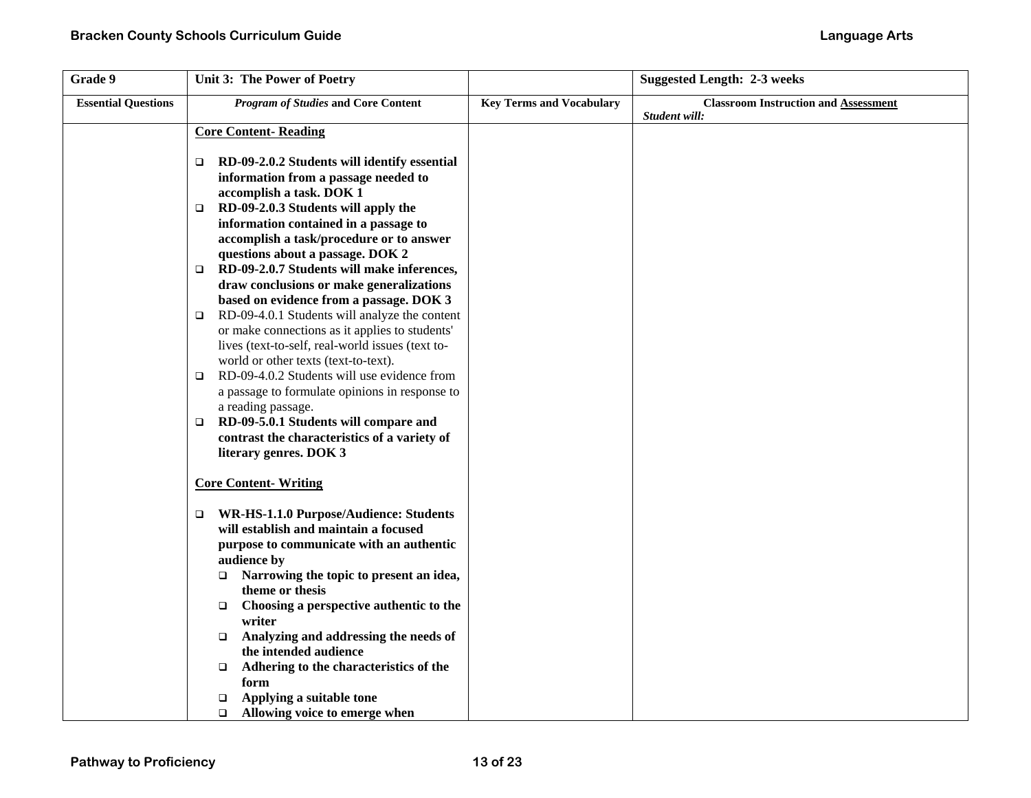| Grade 9                    | Unit 3: The Power of Poetry                                                                                                                                                                                                                                                                                                                                                                                                                                                                                                                                                                                                                   |                                 | <b>Suggested Length: 2-3 weeks</b>          |
|----------------------------|-----------------------------------------------------------------------------------------------------------------------------------------------------------------------------------------------------------------------------------------------------------------------------------------------------------------------------------------------------------------------------------------------------------------------------------------------------------------------------------------------------------------------------------------------------------------------------------------------------------------------------------------------|---------------------------------|---------------------------------------------|
| <b>Essential Questions</b> | <b>Program of Studies and Core Content</b>                                                                                                                                                                                                                                                                                                                                                                                                                                                                                                                                                                                                    | <b>Key Terms and Vocabulary</b> | <b>Classroom Instruction and Assessment</b> |
|                            | <b>Core Content-Reading</b><br>RD-09-2.0.2 Students will identify essential<br>o<br>information from a passage needed to<br>accomplish a task. DOK 1<br>RD-09-2.0.3 Students will apply the<br>$\Box$<br>information contained in a passage to<br>accomplish a task/procedure or to answer                                                                                                                                                                                                                                                                                                                                                    |                                 | Student will:                               |
|                            | questions about a passage. DOK 2<br>RD-09-2.0.7 Students will make inferences,<br>$\Box$<br>draw conclusions or make generalizations<br>based on evidence from a passage. DOK 3<br>RD-09-4.0.1 Students will analyze the content<br>□<br>or make connections as it applies to students'<br>lives (text-to-self, real-world issues (text to-<br>world or other texts (text-to-text).<br>RD-09-4.0.2 Students will use evidence from<br>$\Box$<br>a passage to formulate opinions in response to<br>a reading passage.<br>RD-09-5.0.1 Students will compare and<br>o.<br>contrast the characteristics of a variety of<br>literary genres. DOK 3 |                                 |                                             |
|                            | <b>Core Content-Writing</b><br>WR-HS-1.1.0 Purpose/Audience: Students<br>will establish and maintain a focused<br>purpose to communicate with an authentic<br>audience by<br>Narrowing the topic to present an idea,<br>$\Box$<br>theme or thesis<br>Choosing a perspective authentic to the<br>$\Box$<br>writer<br>Analyzing and addressing the needs of<br>$\Box$<br>the intended audience<br>Adhering to the characteristics of the<br>$\Box$<br>form<br>Applying a suitable tone<br>$\Box$<br>Allowing voice to emerge when<br>$\Box$                                                                                                     |                                 |                                             |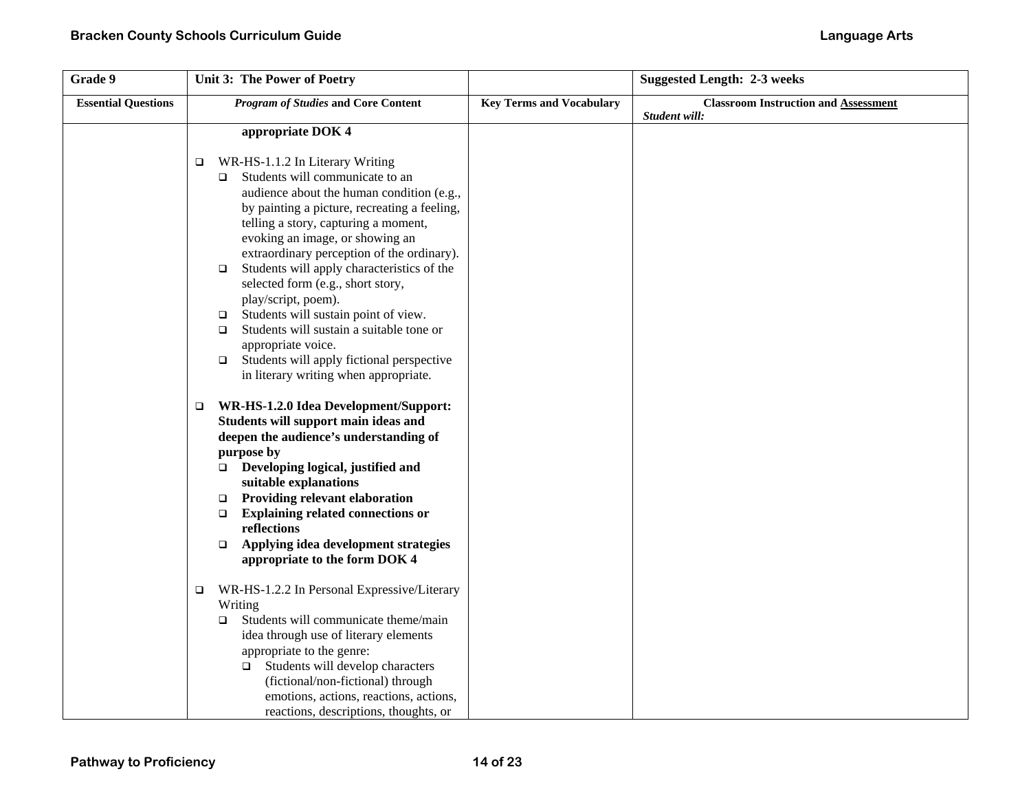| Grade 9                    | Unit 3: The Power of Poetry                                                                  |                                 | <b>Suggested Length: 2-3 weeks</b>          |
|----------------------------|----------------------------------------------------------------------------------------------|---------------------------------|---------------------------------------------|
| <b>Essential Questions</b> | <b>Program of Studies and Core Content</b>                                                   | <b>Key Terms and Vocabulary</b> | <b>Classroom Instruction and Assessment</b> |
|                            |                                                                                              |                                 | Student will:                               |
|                            | appropriate DOK 4                                                                            |                                 |                                             |
|                            | WR-HS-1.1.2 In Literary Writing                                                              |                                 |                                             |
|                            | □<br>Students will communicate to an<br>$\Box$                                               |                                 |                                             |
|                            | audience about the human condition (e.g.,                                                    |                                 |                                             |
|                            | by painting a picture, recreating a feeling,                                                 |                                 |                                             |
|                            | telling a story, capturing a moment,                                                         |                                 |                                             |
|                            | evoking an image, or showing an                                                              |                                 |                                             |
|                            | extraordinary perception of the ordinary).                                                   |                                 |                                             |
|                            | Students will apply characteristics of the<br>$\Box$                                         |                                 |                                             |
|                            | selected form (e.g., short story,                                                            |                                 |                                             |
|                            | play/script, poem).                                                                          |                                 |                                             |
|                            | Students will sustain point of view.<br>$\Box$                                               |                                 |                                             |
|                            | Students will sustain a suitable tone or<br>$\Box$                                           |                                 |                                             |
|                            | appropriate voice.                                                                           |                                 |                                             |
|                            | Students will apply fictional perspective<br>$\Box$<br>in literary writing when appropriate. |                                 |                                             |
|                            |                                                                                              |                                 |                                             |
|                            | WR-HS-1.2.0 Idea Development/Support:<br>$\Box$                                              |                                 |                                             |
|                            | Students will support main ideas and                                                         |                                 |                                             |
|                            | deepen the audience's understanding of                                                       |                                 |                                             |
|                            | purpose by                                                                                   |                                 |                                             |
|                            | □ Developing logical, justified and                                                          |                                 |                                             |
|                            | suitable explanations                                                                        |                                 |                                             |
|                            | <b>Providing relevant elaboration</b><br>$\Box$                                              |                                 |                                             |
|                            | <b>Explaining related connections or</b><br>$\Box$                                           |                                 |                                             |
|                            | reflections                                                                                  |                                 |                                             |
|                            | Applying idea development strategies<br>$\Box$<br>appropriate to the form DOK 4              |                                 |                                             |
|                            |                                                                                              |                                 |                                             |
|                            | WR-HS-1.2.2 In Personal Expressive/Literary<br>$\Box$                                        |                                 |                                             |
|                            | Writing                                                                                      |                                 |                                             |
|                            | Students will communicate theme/main<br>$\Box$                                               |                                 |                                             |
|                            | idea through use of literary elements                                                        |                                 |                                             |
|                            | appropriate to the genre:                                                                    |                                 |                                             |
|                            | Students will develop characters<br>$\Box$                                                   |                                 |                                             |
|                            | (fictional/non-fictional) through                                                            |                                 |                                             |
|                            | emotions, actions, reactions, actions,                                                       |                                 |                                             |
|                            | reactions, descriptions, thoughts, or                                                        |                                 |                                             |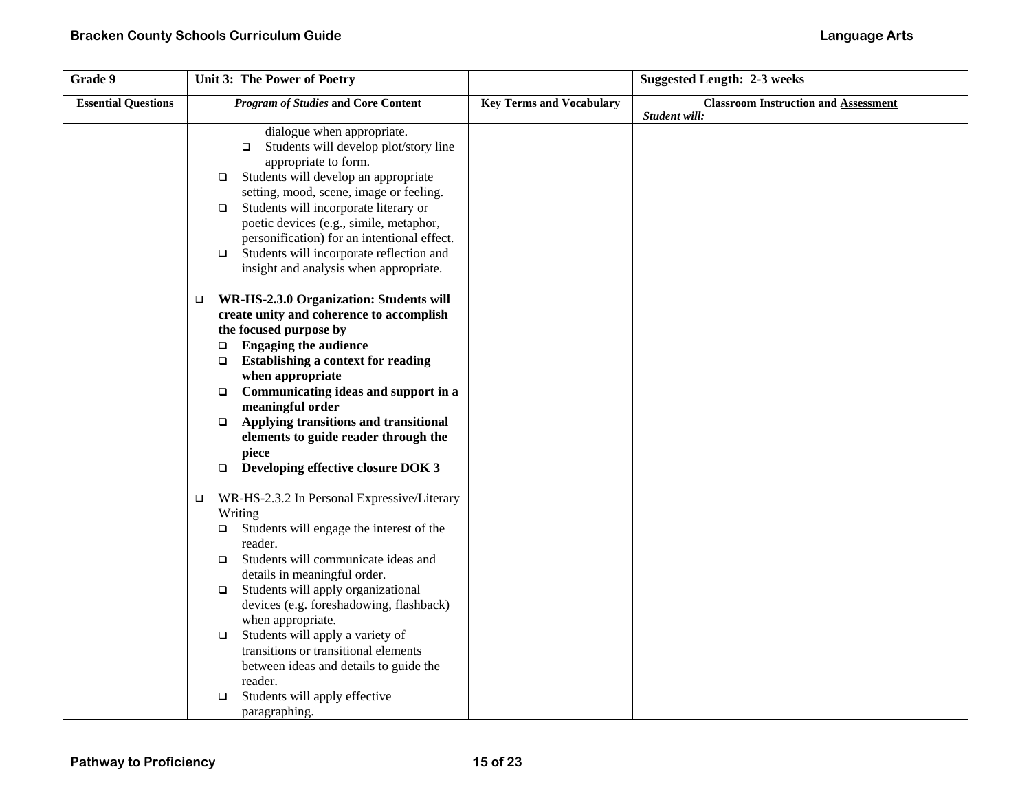| Grade 9                    | Unit 3: The Power of Poetry                                                   |                                 | <b>Suggested Length: 2-3 weeks</b>          |
|----------------------------|-------------------------------------------------------------------------------|---------------------------------|---------------------------------------------|
| <b>Essential Questions</b> | <b>Program of Studies and Core Content</b>                                    | <b>Key Terms and Vocabulary</b> | <b>Classroom Instruction and Assessment</b> |
|                            |                                                                               |                                 | Student will:                               |
|                            | dialogue when appropriate.<br>Students will develop plot/story line<br>$\Box$ |                                 |                                             |
|                            | appropriate to form.                                                          |                                 |                                             |
|                            | Students will develop an appropriate<br>$\Box$                                |                                 |                                             |
|                            | setting, mood, scene, image or feeling.                                       |                                 |                                             |
|                            | Students will incorporate literary or<br>$\Box$                               |                                 |                                             |
|                            | poetic devices (e.g., simile, metaphor,                                       |                                 |                                             |
|                            | personification) for an intentional effect.                                   |                                 |                                             |
|                            | Students will incorporate reflection and<br>$\Box$                            |                                 |                                             |
|                            | insight and analysis when appropriate.                                        |                                 |                                             |
|                            |                                                                               |                                 |                                             |
|                            | WR-HS-2.3.0 Organization: Students will<br>$\Box$                             |                                 |                                             |
|                            | create unity and coherence to accomplish                                      |                                 |                                             |
|                            | the focused purpose by                                                        |                                 |                                             |
|                            | <b>Engaging the audience</b><br>$\Box$                                        |                                 |                                             |
|                            | <b>Establishing a context for reading</b><br>$\Box$                           |                                 |                                             |
|                            | when appropriate                                                              |                                 |                                             |
|                            | Communicating ideas and support in a<br>$\Box$                                |                                 |                                             |
|                            | meaningful order                                                              |                                 |                                             |
|                            | Applying transitions and transitional<br>$\Box$                               |                                 |                                             |
|                            | elements to guide reader through the                                          |                                 |                                             |
|                            | piece                                                                         |                                 |                                             |
|                            | Developing effective closure DOK 3<br>$\Box$                                  |                                 |                                             |
|                            | WR-HS-2.3.2 In Personal Expressive/Literary<br>$\Box$                         |                                 |                                             |
|                            | Writing                                                                       |                                 |                                             |
|                            | Students will engage the interest of the<br>$\Box$                            |                                 |                                             |
|                            | reader.                                                                       |                                 |                                             |
|                            | Students will communicate ideas and<br>$\Box$                                 |                                 |                                             |
|                            | details in meaningful order.                                                  |                                 |                                             |
|                            | Students will apply organizational<br>$\Box$                                  |                                 |                                             |
|                            | devices (e.g. foreshadowing, flashback)                                       |                                 |                                             |
|                            | when appropriate.                                                             |                                 |                                             |
|                            | Students will apply a variety of<br>$\Box$                                    |                                 |                                             |
|                            | transitions or transitional elements                                          |                                 |                                             |
|                            | between ideas and details to guide the                                        |                                 |                                             |
|                            | reader.                                                                       |                                 |                                             |
|                            | Students will apply effective<br>$\Box$                                       |                                 |                                             |
|                            | paragraphing.                                                                 |                                 |                                             |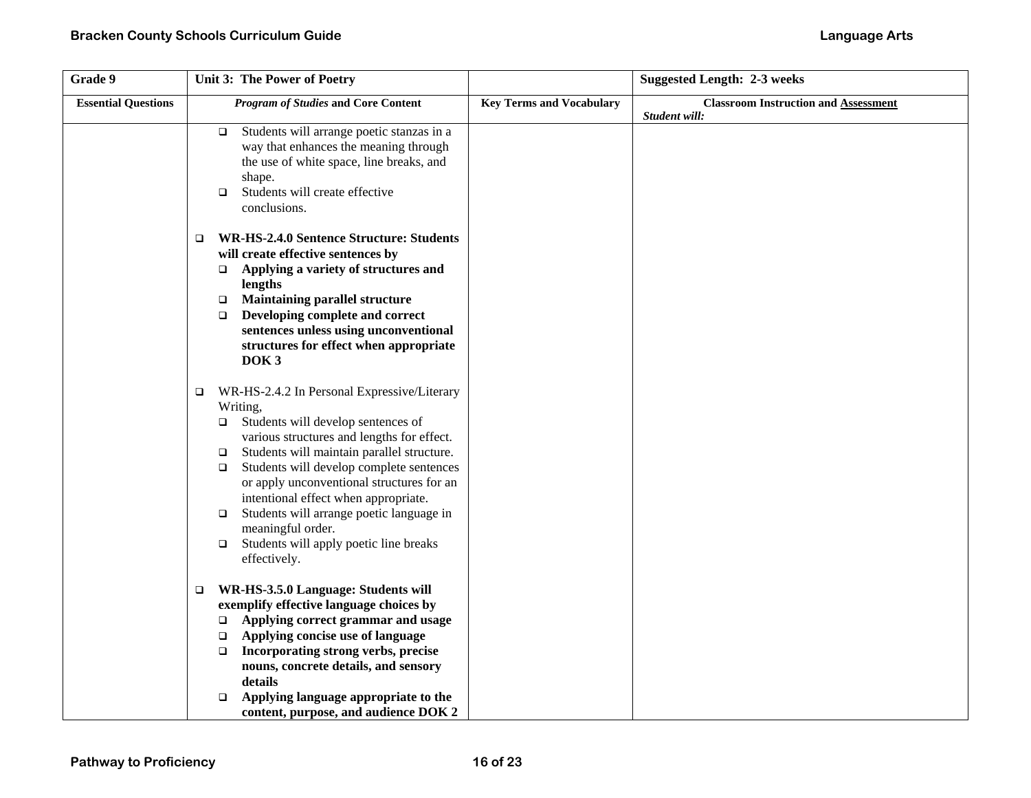| Grade 9                    | Unit 3: The Power of Poetry                                                                                                                                                                                                                                                                                                                                                                                                                                                                                  |                                 | <b>Suggested Length: 2-3 weeks</b>          |
|----------------------------|--------------------------------------------------------------------------------------------------------------------------------------------------------------------------------------------------------------------------------------------------------------------------------------------------------------------------------------------------------------------------------------------------------------------------------------------------------------------------------------------------------------|---------------------------------|---------------------------------------------|
| <b>Essential Questions</b> | <b>Program of Studies and Core Content</b>                                                                                                                                                                                                                                                                                                                                                                                                                                                                   | <b>Key Terms and Vocabulary</b> | <b>Classroom Instruction and Assessment</b> |
|                            | Students will arrange poetic stanzas in a<br>$\Box$<br>way that enhances the meaning through<br>the use of white space, line breaks, and<br>shape.<br>Students will create effective<br>$\Box$<br>conclusions.                                                                                                                                                                                                                                                                                               |                                 | Student will:                               |
|                            | <b>WR-HS-2.4.0 Sentence Structure: Students</b><br>□<br>will create effective sentences by<br>Applying a variety of structures and<br>$\Box$<br>lengths<br><b>Maintaining parallel structure</b><br>$\Box$<br>Developing complete and correct<br>$\Box$<br>sentences unless using unconventional<br>structures for effect when appropriate<br>DOK <sub>3</sub>                                                                                                                                               |                                 |                                             |
|                            | WR-HS-2.4.2 In Personal Expressive/Literary<br>$\Box$<br>Writing,<br>Students will develop sentences of<br>□<br>various structures and lengths for effect.<br>Students will maintain parallel structure.<br>$\Box$<br>Students will develop complete sentences<br>$\Box$<br>or apply unconventional structures for an<br>intentional effect when appropriate.<br>Students will arrange poetic language in<br>$\Box$<br>meaningful order.<br>Students will apply poetic line breaks<br>$\Box$<br>effectively. |                                 |                                             |
|                            | WR-HS-3.5.0 Language: Students will<br>$\Box$<br>exemplify effective language choices by<br>Applying correct grammar and usage<br>$\Box$<br>Applying concise use of language<br>$\Box$<br>Incorporating strong verbs, precise<br>$\Box$<br>nouns, concrete details, and sensory<br>details<br>Applying language appropriate to the<br>$\Box$<br>content, purpose, and audience DOK 2                                                                                                                         |                                 |                                             |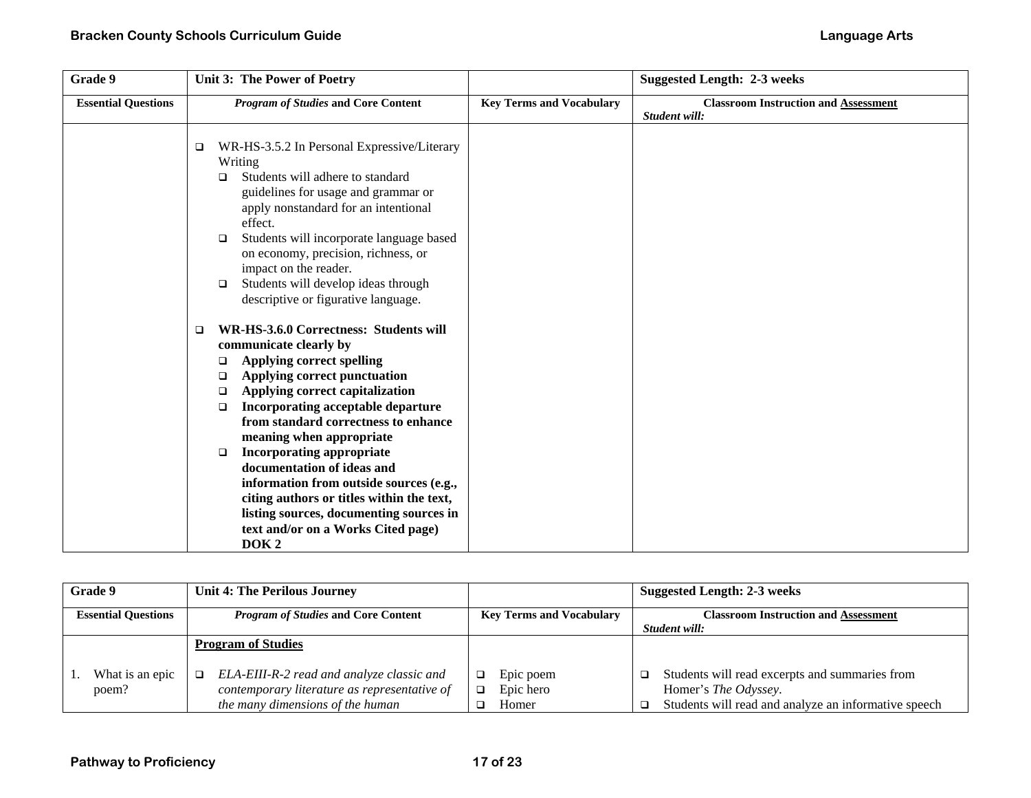| Grade 9                    | Unit 3: The Power of Poetry                                                                                                                                                                                                                                                                                                                                                                                                                                                                                                                                                                   |                                 | <b>Suggested Length: 2-3 weeks</b>                           |
|----------------------------|-----------------------------------------------------------------------------------------------------------------------------------------------------------------------------------------------------------------------------------------------------------------------------------------------------------------------------------------------------------------------------------------------------------------------------------------------------------------------------------------------------------------------------------------------------------------------------------------------|---------------------------------|--------------------------------------------------------------|
| <b>Essential Questions</b> | <b>Program of Studies and Core Content</b>                                                                                                                                                                                                                                                                                                                                                                                                                                                                                                                                                    | <b>Key Terms and Vocabulary</b> | <b>Classroom Instruction and Assessment</b><br>Student will: |
|                            | WR-HS-3.5.2 In Personal Expressive/Literary<br>□<br>Writing<br>Students will adhere to standard<br>□<br>guidelines for usage and grammar or<br>apply nonstandard for an intentional<br>effect.<br>Students will incorporate language based<br>□<br>on economy, precision, richness, or<br>impact on the reader.<br>Students will develop ideas through<br>□<br>descriptive or figurative language.                                                                                                                                                                                            |                                 |                                                              |
|                            | WR-HS-3.6.0 Correctness: Students will<br>$\Box$<br>communicate clearly by<br><b>Applying correct spelling</b><br>□<br>Applying correct punctuation<br>❏<br>Applying correct capitalization<br>$\Box$<br>Incorporating acceptable departure<br>$\Box$<br>from standard correctness to enhance<br>meaning when appropriate<br><b>Incorporating appropriate</b><br>□<br>documentation of ideas and<br>information from outside sources (e.g.,<br>citing authors or titles within the text,<br>listing sources, documenting sources in<br>text and/or on a Works Cited page)<br>DOK <sub>2</sub> |                                 |                                                              |

| Grade 9                    | <b>Unit 4: The Perilous Journey</b>          |                                 | <b>Suggested Length: 2-3 weeks</b>                   |
|----------------------------|----------------------------------------------|---------------------------------|------------------------------------------------------|
| <b>Essential Questions</b> | <b>Program of Studies and Core Content</b>   | <b>Key Terms and Vocabulary</b> | <b>Classroom Instruction and Assessment</b>          |
|                            |                                              |                                 | Student will:                                        |
|                            | <b>Program of Studies</b>                    |                                 |                                                      |
| What is an epic            | ELA-EIII-R-2 read and analyze classic and    | Epic poem                       | Students will read excerpts and summaries from       |
| poem?                      | contemporary literature as representative of | Epic hero                       | Homer's <i>The Odyssey</i> .                         |
|                            | the many dimensions of the human             | Homer                           | Students will read and analyze an informative speech |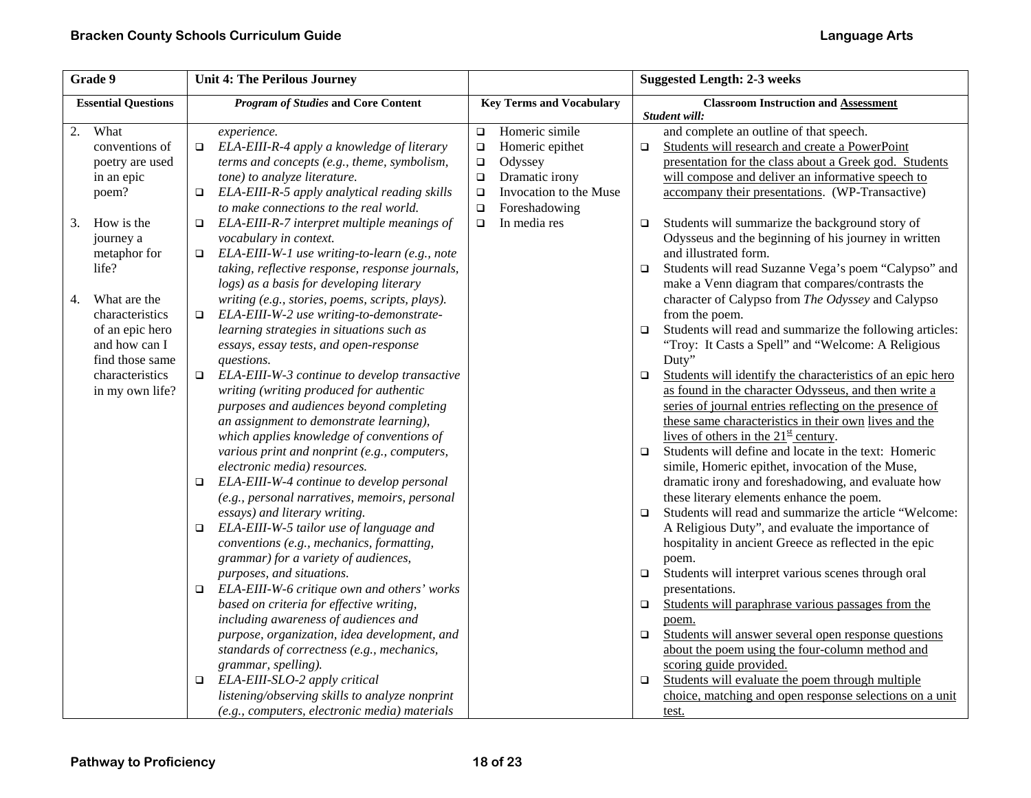| Grade 9                    |        | <b>Unit 4: The Perilous Journey</b>             |        | <b>Suggested Length: 2-3 weeks</b> |        |                                                              |
|----------------------------|--------|-------------------------------------------------|--------|------------------------------------|--------|--------------------------------------------------------------|
| <b>Essential Questions</b> |        | <b>Program of Studies and Core Content</b>      |        | <b>Key Terms and Vocabulary</b>    |        | <b>Classroom Instruction and Assessment</b><br>Student will: |
| What<br>2.                 |        | experience.                                     | $\Box$ | Homeric simile                     |        | and complete an outline of that speech.                      |
| conventions of             | $\Box$ | ELA-EIII-R-4 apply a knowledge of literary      | $\Box$ | Homeric epithet                    | $\Box$ | Students will research and create a PowerPoint               |
| poetry are used            |        | terms and concepts (e.g., theme, symbolism,     | $\Box$ | Odyssey                            |        | presentation for the class about a Greek god. Students       |
| in an epic                 |        | tone) to analyze literature.                    | $\Box$ | Dramatic irony                     |        | will compose and deliver an informative speech to            |
| poem?                      | $\Box$ | ELA-EIII-R-5 apply analytical reading skills    | $\Box$ | Invocation to the Muse             |        | accompany their presentations. (WP-Transactive)              |
|                            |        | to make connections to the real world.          | $\Box$ | Foreshadowing                      |        |                                                              |
| How is the<br>3.           | $\Box$ | ELA-EIII-R-7 interpret multiple meanings of     | $\Box$ | In media res                       | $\Box$ | Students will summarize the background story of              |
| journey a                  |        | vocabulary in context.                          |        |                                    |        | Odysseus and the beginning of his journey in written         |
| metaphor for               | $\Box$ | ELA-EIII-W-1 use writing-to-learn (e.g., note   |        |                                    |        | and illustrated form.                                        |
| life?                      |        | taking, reflective response, response journals, |        |                                    | $\Box$ | Students will read Suzanne Vega's poem "Calypso" and         |
|                            |        | logs) as a basis for developing literary        |        |                                    |        | make a Venn diagram that compares/contrasts the              |
| What are the<br>4.         |        | writing (e.g., stories, poems, scripts, plays). |        |                                    |        | character of Calypso from The Odyssey and Calypso            |
| characteristics            | $\Box$ | ELA-EIII-W-2 use writing-to-demonstrate-        |        |                                    |        | from the poem.                                               |
| of an epic hero            |        | learning strategies in situations such as       |        |                                    | $\Box$ | Students will read and summarize the following articles:     |
| and how can I              |        | essays, essay tests, and open-response          |        |                                    |        | "Troy: It Casts a Spell" and "Welcome: A Religious           |
| find those same            |        | questions.                                      |        |                                    |        | Duty"                                                        |
| characteristics            | $\Box$ | ELA-EIII-W-3 continue to develop transactive    |        |                                    | $\Box$ | Students will identify the characteristics of an epic hero   |
| in my own life?            |        | writing (writing produced for authentic         |        |                                    |        | as found in the character Odysseus, and then write a         |
|                            |        | purposes and audiences beyond completing        |        |                                    |        | series of journal entries reflecting on the presence of      |
|                            |        | an assignment to demonstrate learning),         |        |                                    |        | these same characteristics in their own lives and the        |
|                            |        | which applies knowledge of conventions of       |        |                                    |        | lives of others in the $21st$ century.                       |
|                            |        | various print and nonprint (e.g., computers,    |        |                                    | $\Box$ | Students will define and locate in the text: Homeric         |
|                            |        | electronic media) resources.                    |        |                                    |        | simile, Homeric epithet, invocation of the Muse,             |
|                            | $\Box$ | ELA-EIII-W-4 continue to develop personal       |        |                                    |        | dramatic irony and foreshadowing, and evaluate how           |
|                            |        | (e.g., personal narratives, memoirs, personal   |        |                                    |        | these literary elements enhance the poem.                    |
|                            |        | essays) and literary writing.                   |        |                                    | $\Box$ | Students will read and summarize the article "Welcome:       |
|                            | $\Box$ | ELA-EIII-W-5 tailor use of language and         |        |                                    |        | A Religious Duty", and evaluate the importance of            |
|                            |        | conventions (e.g., mechanics, formatting,       |        |                                    |        | hospitality in ancient Greece as reflected in the epic       |
|                            |        | grammar) for a variety of audiences,            |        |                                    |        | poem.                                                        |
|                            |        | purposes, and situations.                       |        |                                    | $\Box$ | Students will interpret various scenes through oral          |
|                            | $\Box$ | ELA-EIII-W-6 critique own and others' works     |        |                                    |        | presentations.                                               |
|                            |        | based on criteria for effective writing,        |        |                                    | $\Box$ | Students will paraphrase various passages from the           |
|                            |        | including awareness of audiences and            |        |                                    |        | poem.                                                        |
|                            |        | purpose, organization, idea development, and    |        |                                    | $\Box$ | Students will answer several open response questions         |
|                            |        | standards of correctness (e.g., mechanics,      |        |                                    |        | about the poem using the four-column method and              |
|                            |        | grammar, spelling).                             |        |                                    |        | scoring guide provided.                                      |
|                            | $\Box$ | ELA-EIII-SLO-2 apply critical                   |        |                                    | $\Box$ | Students will evaluate the poem through multiple             |
|                            |        | listening/observing skills to analyze nonprint  |        |                                    |        | choice, matching and open response selections on a unit      |
|                            |        | (e.g., computers, electronic media) materials   |        |                                    |        | test.                                                        |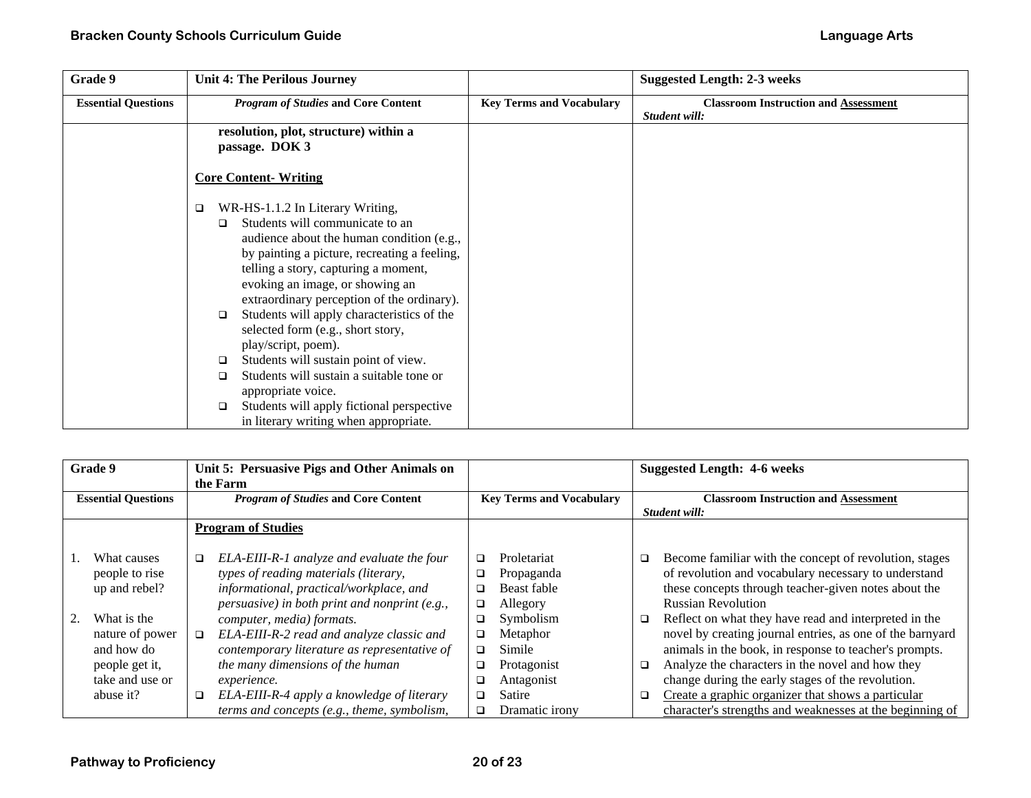| Grade 9                    | <b>Unit 4: The Perilous Journey</b>                                                                                                                                                                                                                                                                                                                                                                                                                                                                                                                                                                                                                   |                                 | <b>Suggested Length: 2-3 weeks</b>                           |
|----------------------------|-------------------------------------------------------------------------------------------------------------------------------------------------------------------------------------------------------------------------------------------------------------------------------------------------------------------------------------------------------------------------------------------------------------------------------------------------------------------------------------------------------------------------------------------------------------------------------------------------------------------------------------------------------|---------------------------------|--------------------------------------------------------------|
| <b>Essential Questions</b> | <b>Program of Studies and Core Content</b>                                                                                                                                                                                                                                                                                                                                                                                                                                                                                                                                                                                                            | <b>Key Terms and Vocabulary</b> | <b>Classroom Instruction and Assessment</b><br>Student will: |
|                            | resolution, plot, structure) within a<br>passage. DOK 3                                                                                                                                                                                                                                                                                                                                                                                                                                                                                                                                                                                               |                                 |                                                              |
|                            | <b>Core Content-Writing</b>                                                                                                                                                                                                                                                                                                                                                                                                                                                                                                                                                                                                                           |                                 |                                                              |
|                            | WR-HS-1.1.2 In Literary Writing,<br>$\Box$<br>Students will communicate to an<br>$\Box$<br>audience about the human condition (e.g.,<br>by painting a picture, recreating a feeling,<br>telling a story, capturing a moment,<br>evoking an image, or showing an<br>extraordinary perception of the ordinary).<br>Students will apply characteristics of the<br>$\Box$<br>selected form (e.g., short story,<br>play/script, poem).<br>Students will sustain point of view.<br>□<br>Students will sustain a suitable tone or<br>$\Box$<br>appropriate voice.<br>Students will apply fictional perspective<br>□<br>in literary writing when appropriate. |                                 |                                                              |

| Grade 9                                                                                        | Unit 5: Persuasive Pigs and Other Animals on<br>the Farm                                                                                                                                                                                      |                                                                                                      | <b>Suggested Length: 4-6 weeks</b>                                                                                                                                                                                                                                                                                                                          |  |
|------------------------------------------------------------------------------------------------|-----------------------------------------------------------------------------------------------------------------------------------------------------------------------------------------------------------------------------------------------|------------------------------------------------------------------------------------------------------|-------------------------------------------------------------------------------------------------------------------------------------------------------------------------------------------------------------------------------------------------------------------------------------------------------------------------------------------------------------|--|
| <b>Essential Questions</b>                                                                     | <b>Program of Studies and Core Content</b>                                                                                                                                                                                                    | <b>Key Terms and Vocabulary</b>                                                                      | <b>Classroom Instruction and Assessment</b><br>Student will:                                                                                                                                                                                                                                                                                                |  |
|                                                                                                | <b>Program of Studies</b>                                                                                                                                                                                                                     |                                                                                                      |                                                                                                                                                                                                                                                                                                                                                             |  |
| What causes<br>people to rise<br>up and rebel?                                                 | ELA-EIII-R-1 analyze and evaluate the four<br>□<br>types of reading materials (literary,<br>informational, practical/workplace, and<br>persuasive) in both print and nonprint (e.g.,                                                          | Proletariat<br>□<br>Propaganda<br>□<br>Beast fable<br>❏<br>Allegory<br>❏                             | Become familiar with the concept of revolution, stages<br>□<br>of revolution and vocabulary necessary to understand<br>these concepts through teacher-given notes about the<br><b>Russian Revolution</b>                                                                                                                                                    |  |
| What is the<br>nature of power<br>and how do<br>people get it,<br>take and use or<br>abuse it? | computer, media) formats.<br>ELA-EIII-R-2 read and analyze classic and<br>$\Box$<br>contemporary literature as representative of<br>the many dimensions of the human<br><i>experience.</i><br>ELA-EIII-R-4 apply a knowledge of literary<br>□ | Symbolism<br>□<br>Metaphor<br>□<br>Simile<br>□<br>Protagonist<br>□<br>Antagonist<br>❏<br>Satire<br>□ | Reflect on what they have read and interpreted in the<br>o.<br>novel by creating journal entries, as one of the barnyard<br>animals in the book, in response to teacher's prompts.<br>Analyze the characters in the novel and how they<br>□<br>change during the early stages of the revolution.<br>Create a graphic organizer that shows a particular<br>□ |  |
|                                                                                                | terms and concepts (e.g., theme, symbolism,                                                                                                                                                                                                   | Dramatic irony<br>□                                                                                  | character's strengths and weaknesses at the beginning of                                                                                                                                                                                                                                                                                                    |  |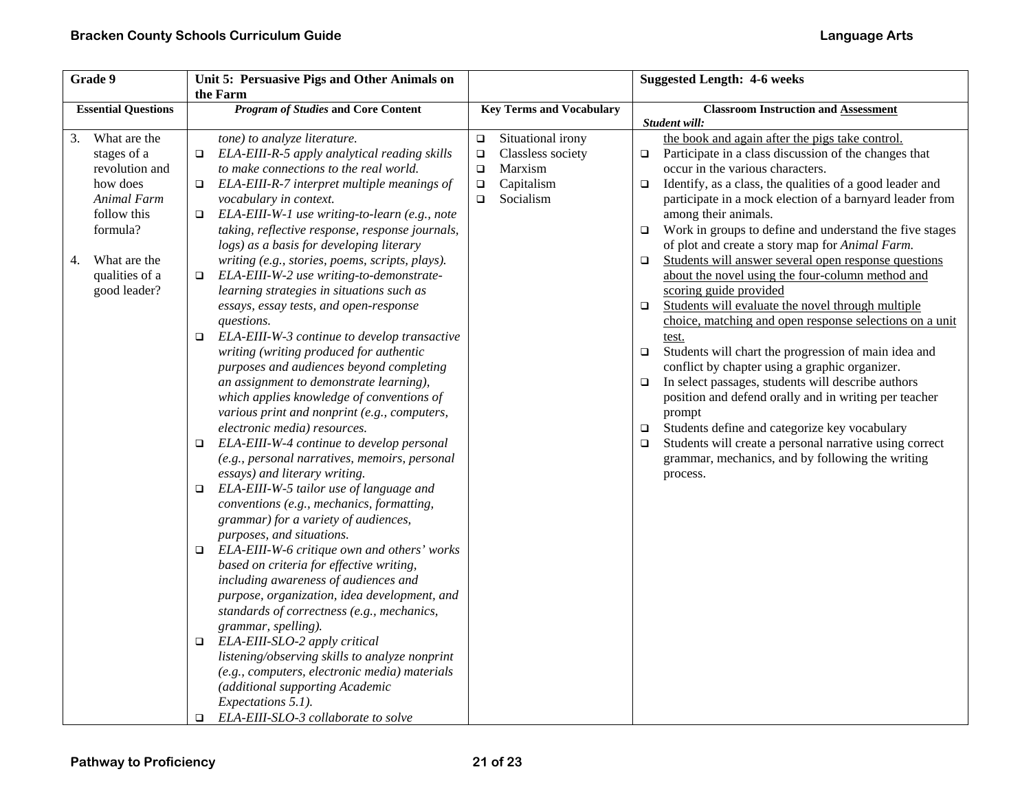| Grade 9                    |                                | Unit 5: Persuasive Pigs and Other Animals on                                                      |                                                  | <b>Suggested Length: 4-6 weeks</b>                                                                                   |
|----------------------------|--------------------------------|---------------------------------------------------------------------------------------------------|--------------------------------------------------|----------------------------------------------------------------------------------------------------------------------|
|                            |                                | the Farm                                                                                          |                                                  |                                                                                                                      |
| <b>Essential Questions</b> |                                | <b>Program of Studies and Core Content</b>                                                        | <b>Key Terms and Vocabulary</b>                  | <b>Classroom Instruction and Assessment</b>                                                                          |
| 3.                         | What are the                   | tone) to analyze literature.                                                                      | Situational irony<br>$\Box$                      | Student will:<br>the book and again after the pigs take control.                                                     |
|                            | stages of a<br>revolution and  | ELA-EIII-R-5 apply analytical reading skills<br>$\Box$<br>to make connections to the real world.  | $\Box$<br>Classless society<br>Marxism<br>$\Box$ | Participate in a class discussion of the changes that<br>$\Box$<br>occur in the various characters.                  |
|                            | how does                       | ELA-EIII-R-7 interpret multiple meanings of<br>$\Box$                                             | Capitalism<br>$\Box$<br>Socialism<br>$\Box$      | Identify, as a class, the qualities of a good leader and<br>$\Box$                                                   |
|                            | Animal Farm<br>follow this     | vocabulary in context.<br>ELA-EIII-W-1 use writing-to-learn (e.g., note<br>□                      |                                                  | participate in a mock election of a barnyard leader from<br>among their animals.                                     |
|                            | formula?                       | taking, reflective response, response journals,<br>logs) as a basis for developing literary       |                                                  | Work in groups to define and understand the five stages<br>$\Box$<br>of plot and create a story map for Animal Farm. |
| 4.                         | What are the                   | writing (e.g., stories, poems, scripts, plays).                                                   |                                                  | Students will answer several open response questions<br>$\Box$                                                       |
|                            | qualities of a<br>good leader? | ELA-EIII-W-2 use writing-to-demonstrate-<br>□<br>learning strategies in situations such as        |                                                  | about the novel using the four-column method and<br>scoring guide provided                                           |
|                            |                                | essays, essay tests, and open-response                                                            |                                                  | Students will evaluate the novel through multiple<br>$\Box$                                                          |
|                            |                                | questions.<br>ELA-EIII-W-3 continue to develop transactive<br>□                                   |                                                  | choice, matching and open response selections on a unit<br>test.                                                     |
|                            |                                | writing (writing produced for authentic                                                           |                                                  | Students will chart the progression of main idea and<br>$\Box$                                                       |
|                            |                                | purposes and audiences beyond completing<br>an assignment to demonstrate learning),               |                                                  | conflict by chapter using a graphic organizer.<br>In select passages, students will describe authors<br>$\Box$       |
|                            |                                | which applies knowledge of conventions of                                                         |                                                  | position and defend orally and in writing per teacher                                                                |
|                            |                                | various print and nonprint (e.g., computers,<br>electronic media) resources.                      |                                                  | prompt<br>Students define and categorize key vocabulary<br>$\Box$                                                    |
|                            |                                | ELA-EIII-W-4 continue to develop personal<br>□                                                    |                                                  | Students will create a personal narrative using correct<br>$\Box$                                                    |
|                            |                                | (e.g., personal narratives, memoirs, personal<br>essays) and literary writing.                    |                                                  | grammar, mechanics, and by following the writing                                                                     |
|                            |                                | ELA-EIII-W-5 tailor use of language and<br>$\Box$                                                 |                                                  | process.                                                                                                             |
|                            |                                | conventions (e.g., mechanics, formatting,<br>grammar) for a variety of audiences,                 |                                                  |                                                                                                                      |
|                            |                                | purposes, and situations.                                                                         |                                                  |                                                                                                                      |
|                            |                                | ELA-EIII-W-6 critique own and others' works<br>$\Box$<br>based on criteria for effective writing, |                                                  |                                                                                                                      |
|                            |                                | including awareness of audiences and                                                              |                                                  |                                                                                                                      |
|                            |                                | purpose, organization, idea development, and<br>standards of correctness (e.g., mechanics,        |                                                  |                                                                                                                      |
|                            |                                | grammar, spelling).                                                                               |                                                  |                                                                                                                      |
|                            |                                | ELA-EIII-SLO-2 apply critical<br>$\Box$<br>listening/observing skills to analyze nonprint         |                                                  |                                                                                                                      |
|                            |                                | (e.g., computers, electronic media) materials                                                     |                                                  |                                                                                                                      |
|                            |                                | (additional supporting Academic<br>Expectations 5.1).                                             |                                                  |                                                                                                                      |
|                            |                                | ELA-EIII-SLO-3 collaborate to solve<br>□                                                          |                                                  |                                                                                                                      |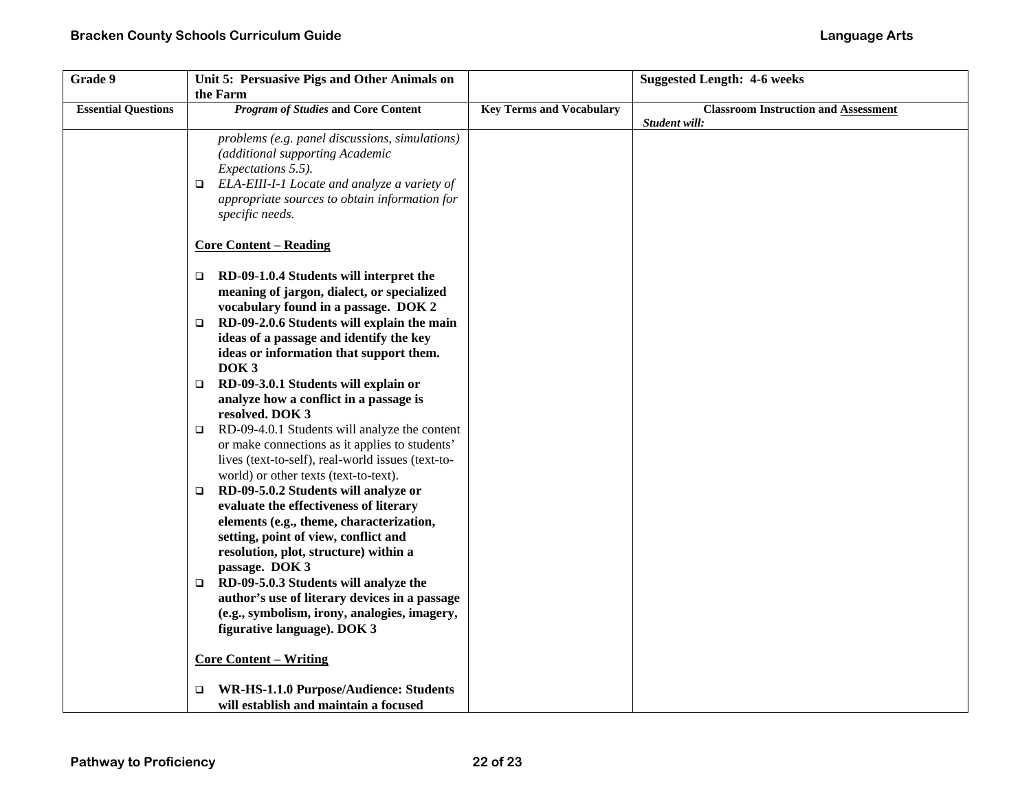| Grade 9                    | Unit 5: Persuasive Pigs and Other Animals on<br>the Farm                                                                                                                                                                                     |                                 | <b>Suggested Length: 4-6 weeks</b>                           |
|----------------------------|----------------------------------------------------------------------------------------------------------------------------------------------------------------------------------------------------------------------------------------------|---------------------------------|--------------------------------------------------------------|
| <b>Essential Questions</b> | <b>Program of Studies and Core Content</b>                                                                                                                                                                                                   | <b>Key Terms and Vocabulary</b> | <b>Classroom Instruction and Assessment</b><br>Student will: |
|                            | problems (e.g. panel discussions, simulations)<br>(additional supporting Academic<br><i>Expectations</i> 5.5).<br>ELA-EIII-I-1 Locate and analyze a variety of<br>$\Box$<br>appropriate sources to obtain information for<br>specific needs. |                                 |                                                              |
|                            | <b>Core Content - Reading</b>                                                                                                                                                                                                                |                                 |                                                              |
|                            | RD-09-1.0.4 Students will interpret the<br>$\Box$<br>meaning of jargon, dialect, or specialized<br>vocabulary found in a passage. DOK 2                                                                                                      |                                 |                                                              |
|                            | RD-09-2.0.6 Students will explain the main<br>$\Box$<br>ideas of a passage and identify the key<br>ideas or information that support them.<br>DOK <sub>3</sub>                                                                               |                                 |                                                              |
|                            | RD-09-3.0.1 Students will explain or<br>$\Box$<br>analyze how a conflict in a passage is<br>resolved. DOK 3                                                                                                                                  |                                 |                                                              |
|                            | RD-09-4.0.1 Students will analyze the content<br>$\Box$<br>or make connections as it applies to students'<br>lives (text-to-self), real-world issues (text-to-<br>world) or other texts (text-to-text).                                      |                                 |                                                              |
|                            | RD-09-5.0.2 Students will analyze or<br>$\Box$<br>evaluate the effectiveness of literary<br>elements (e.g., theme, characterization,<br>setting, point of view, conflict and                                                                 |                                 |                                                              |
|                            | resolution, plot, structure) within a<br>passage. DOK 3<br>RD-09-5.0.3 Students will analyze the<br>$\Box$                                                                                                                                   |                                 |                                                              |
|                            | author's use of literary devices in a passage<br>(e.g., symbolism, irony, analogies, imagery,<br>figurative language). DOK 3                                                                                                                 |                                 |                                                              |
|                            | <b>Core Content – Writing</b>                                                                                                                                                                                                                |                                 |                                                              |
|                            | WR-HS-1.1.0 Purpose/Audience: Students<br>$\Box$<br>will establish and maintain a focused                                                                                                                                                    |                                 |                                                              |